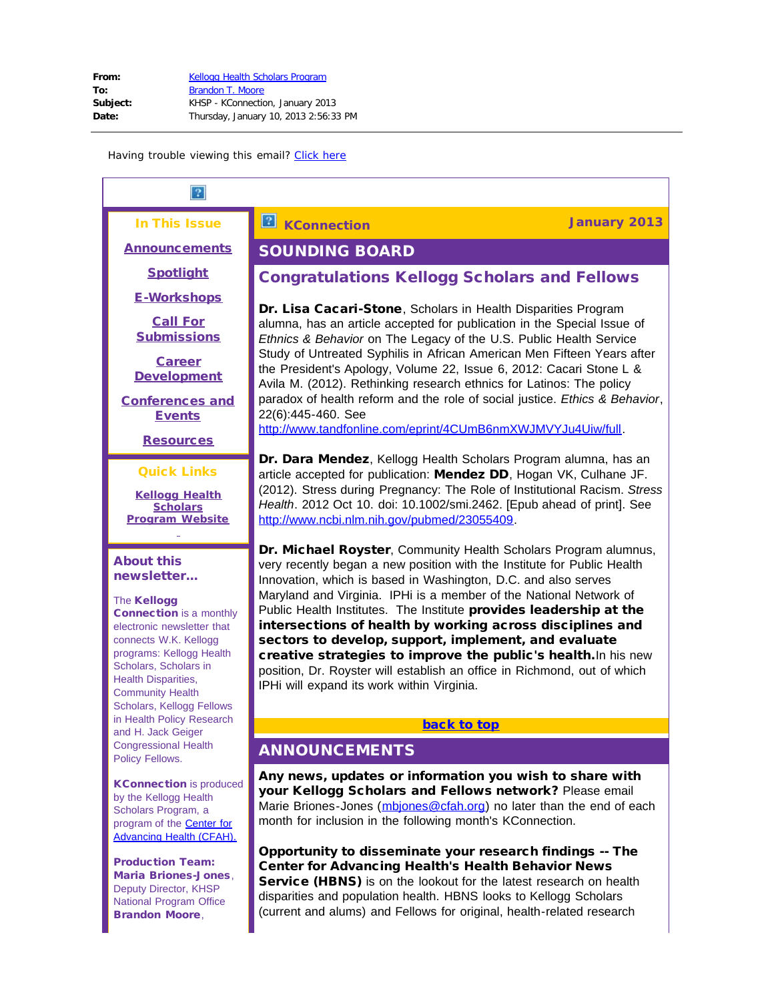In This Issue

<span id="page-0-1"></span>[Announcements](#page-0-0)

[Spotlight](#page-1-0)

[E-Workshops](#page-2-0)

[Call For](#page-2-1) **[Submissions](#page-2-1)** 

**[Career](#page-9-0) [Development](#page-9-0)** 

<span id="page-0-2"></span>[Conferences and](#page-16-0) [Events](#page-16-0)

**[Resources](#page-18-0)** 

#### Quick Links

**[Kellogg Health](http://r20.rs6.net/tn.jsp?e=0014xJLtunQVdiI7HQoufKgoQPocdvk3CF2SBBGOUZWg83GwpVaEVTxixpwZeL1Cx59U_PAkB3FU9TdAkXkWep-F-Jkk5TG2JN2aSIAML4RXuojxlGAiRuekj8ZQJtoAsCV) [Scholars](http://r20.rs6.net/tn.jsp?e=0014xJLtunQVdiI7HQoufKgoQPocdvk3CF2SBBGOUZWg83GwpVaEVTxixpwZeL1Cx59U_PAkB3FU9TdAkXkWep-F-Jkk5TG2JN2aSIAML4RXuojxlGAiRuekj8ZQJtoAsCV) [Program](http://r20.rs6.net/tn.jsp?e=0014xJLtunQVdiI7HQoufKgoQPocdvk3CF2SBBGOUZWg83GwpVaEVTxixpwZeL1Cx59U_PAkB3FU9TdAkXkWep-F-Jkk5TG2JN2aSIAML4RXuojxlGAiRuekj8ZQJtoAsCV) Website**

### About this newsletter...

#### The Kellogg

Connection is a monthly electronic newsletter that connects W.K. Kellogg programs: Kellogg Health Scholars, Scholars in Health Disparities, Community Health Scholars, Kellogg Fellows in Health Policy Research and H. Jack Geiger Congressional Health Policy Fellows.

<span id="page-0-0"></span>**KConnection** is produced by the Kellogg Health Scholars Program, a program of the [Center for](http://r20.rs6.net/tn.jsp?e=0014xJLtunQVdh61OZULp0ecwIWIcC0GkdfT5eE4mJ-T913BD0rpM4fjFPMKEPAgWoVXZSU3uj2EnhFjDDfM85YvY_m7-ZJElFUJI4lm3lt96k=) [Advancing Health \(CFAH\).](http://r20.rs6.net/tn.jsp?e=0014xJLtunQVdh61OZULp0ecwIWIcC0GkdfT5eE4mJ-T913BD0rpM4fjFPMKEPAgWoVXZSU3uj2EnhFjDDfM85YvY_m7-ZJElFUJI4lm3lt96k=)

Production Team: Maria Briones-Jones, Deputy Director, KHSP National Program Office Brandon Moore,

# **KConnection January 2013**

## SOUNDING BOARD

## Congratulations Kellogg Scholars and Fellows

Dr. Lisa Cacari-Stone, Scholars in Health Disparities Program alumna, has an article accepted for publication in the Special Issue of *Ethnics & Behavior* on The Legacy of the U.S. Public Health Service Study of Untreated Syphilis in African American Men Fifteen Years after the President's Apology, Volume 22, Issue 6, 2012: Cacari Stone L & Avila M. (2012). Rethinking research ethnics for Latinos: The policy paradox of health reform and the role of social justice. *Ethics & Behavior*, 22(6):445-460. See

[http://www.tandfonline.com/eprint/4CUmB6nmXWJMVYJu4Uiw/full.](http://r20.rs6.net/tn.jsp?e=0014xJLtunQVdg8mn9eDe6sAVeCkgxCdKxskycb8W8LXyr9hWLzz3qGuvRaX74cq-eOMfyce1eb4RQwFKhaVZJGXT6Mfw_Y22R2GkO-1jSkJsw9g6VXh0lxyDnQ1hJuPKqCDKERRHhtoQcmmaejol8oGRqbRk-yFM4b)

Dr. Dara Mendez, Kellogg Health Scholars Program alumna, has an article accepted for publication: Mendez DD, Hogan VK, Culhane JF. (2012). Stress during Pregnancy: The Role of Institutional Racism. *Stress Health*. 2012 Oct 10. doi: 10.1002/smi.2462. [Epub ahead of print]. See [http://www.ncbi.nlm.nih.gov/pubmed/23055409.](http://r20.rs6.net/tn.jsp?e=0014xJLtunQVdjUejrMEraP3ukoEtihKMOOZuguFWckKO_E6uRrDRU0VK3JPEAj03hiWGCD_m244IslOUYDTLbIB8NBWG3ipQ-7fWq7ypMUod-nPZWQEm87AdphFxhrYHnCv2sDKu21T6A=)

Dr. Michael Royster, Community Health Scholars Program alumnus, very recently began a new position with the Institute for Public Health Innovation, which is based in Washington, D.C. and also serves Maryland and Virginia. IPHi is a member of the National Network of Public Health Institutes. The Institute provides leadership at the intersections of health by working across disciplines and sectors to develop, support, implement, and evaluate creative strategies to improve the public's health. In his new position, Dr. Royster will establish an office in Richmond, out of which IPHi will expand its work within Virginia.

#### [back to top](#page-0-1)

## ANNOUNCEMENTS

Any news, updates or information you wish to share with your Kellogg Scholars and Fellows network? Please email Marie Briones-Jones (mbiones@cfah.org) no later than the end of each month for inclusion in the following month's KConnection.

Opportunity to disseminate your research findings -- The Center for Advancing Health's Health Behavior News Service (HBNS) is on the lookout for the latest research on health disparities and population health. HBNS looks to Kellogg Scholars (current and alums) and Fellows for original, health-related research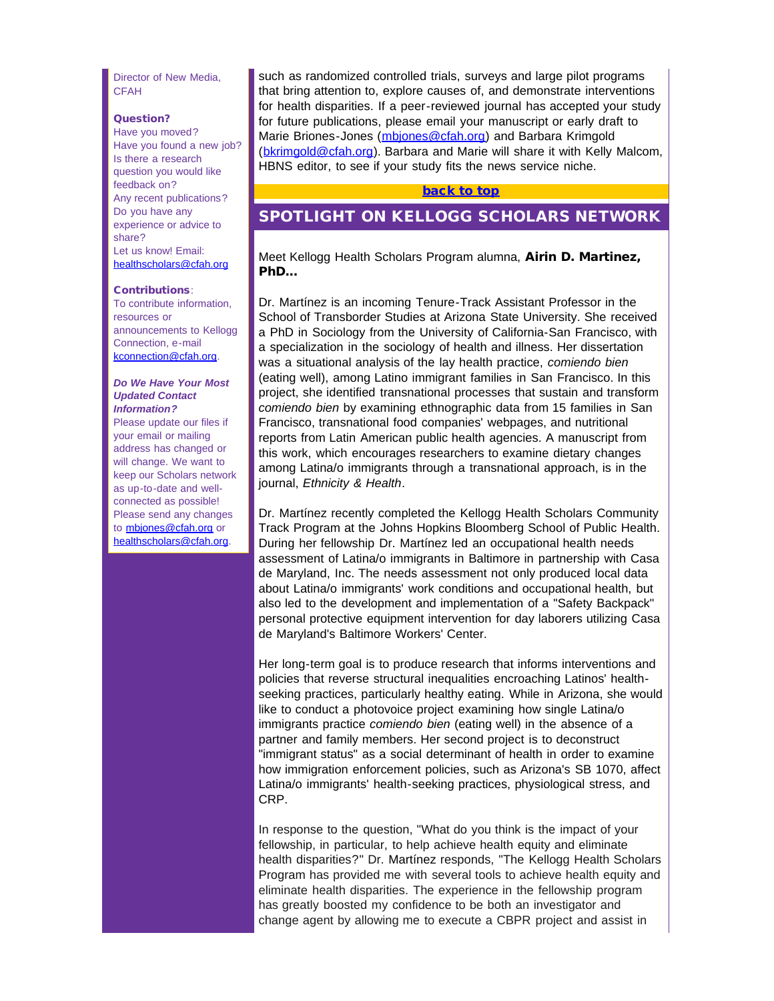<span id="page-1-0"></span>Director of New Media, **CFAH** 

### Question?

Have you moved? Have you found a new job? Is there a research question you would like feedback on? Any recent publications? Do you have any experience or advice to share? Let us know! Email: [healthscholars@cfah.org](mailto:healthscholars@cfah.org)

#### Contributions:

To contribute information, resources or announcements to Kellogg Connection, e-mail [kconnection@cfah.org.](mailto:kconnection@cfah.org)

#### *Do We Have Your Most Updated Contact Information?*

Please update our files if your email or mailing address has changed or will change. We want to keep our Scholars network as up-to-date and wellconnected as possible! Please send any changes to mbiones@cfah.org or [healthscholars@cfah.org.](mailto:healthscholars@cfah.org)

such as randomized controlled trials, surveys and large pilot programs that bring attention to, explore causes of, and demonstrate interventions for health disparities. If a peer-reviewed journal has accepted your study for future publications, please email your manuscript or early draft to Marie Briones-Jones ([mbjones@cfah.org](mailto:mbjones@cfah.org)) and Barbara Krimgold ([bkrimgold@cfah.org](mailto:bkrimgold@cfah.org)). Barbara and Marie will share it with Kelly Malcom, HBNS editor, to see if your study fits the news service niche.

### [back to top](#page-0-2)

## SPOTLIGHT ON KELLOGG SCHOLARS NETWORK

Meet Kellogg Health Scholars Program alumna, Airin D. Martinez, PhD...

Dr. Martínez is an incoming Tenure-Track Assistant Professor in the School of Transborder Studies at Arizona State University. She received a PhD in Sociology from the University of California-San Francisco, with a specialization in the sociology of health and illness. Her dissertation was a situational analysis of the lay health practice, *comiendo bien* (eating well), among Latino immigrant families in San Francisco. In this project, she identified transnational processes that sustain and transform *comiendo bien* by examining ethnographic data from 15 families in San Francisco, transnational food companies' webpages, and nutritional reports from Latin American public health agencies. A manuscript from this work, which encourages researchers to examine dietary changes among Latina/o immigrants through a transnational approach, is in the journal, *Ethnicity & Health*.

Dr. Martínez recently completed the Kellogg Health Scholars Community Track Program at the Johns Hopkins Bloomberg School of Public Health. During her fellowship Dr. Martínez led an occupational health needs assessment of Latina/o immigrants in Baltimore in partnership with Casa de Maryland, Inc. The needs assessment not only produced local data about Latina/o immigrants' work conditions and occupational health, but also led to the development and implementation of a "Safety Backpack" personal protective equipment intervention for day laborers utilizing Casa de Maryland's Baltimore Workers' Center.

Her long-term goal is to produce research that informs interventions and policies that reverse structural inequalities encroaching Latinos' healthseeking practices, particularly healthy eating. While in Arizona, she would like to conduct a photovoice project examining how single Latina/o immigrants practice *comiendo bien* (eating well) in the absence of a partner and family members. Her second project is to deconstruct "immigrant status" as a social determinant of health in order to examine how immigration enforcement policies, such as Arizona's SB 1070, affect Latina/o immigrants' health-seeking practices, physiological stress, and CRP.

In response to the question, "What do you think is the impact of your fellowship, in particular, to help achieve health equity and eliminate health disparities?" Dr. Martínez responds, "The Kellogg Health Scholars Program has provided me with several tools to achieve health equity and eliminate health disparities. The experience in the fellowship program has greatly boosted my confidence to be both an investigator and change agent by allowing me to execute a CBPR project and assist in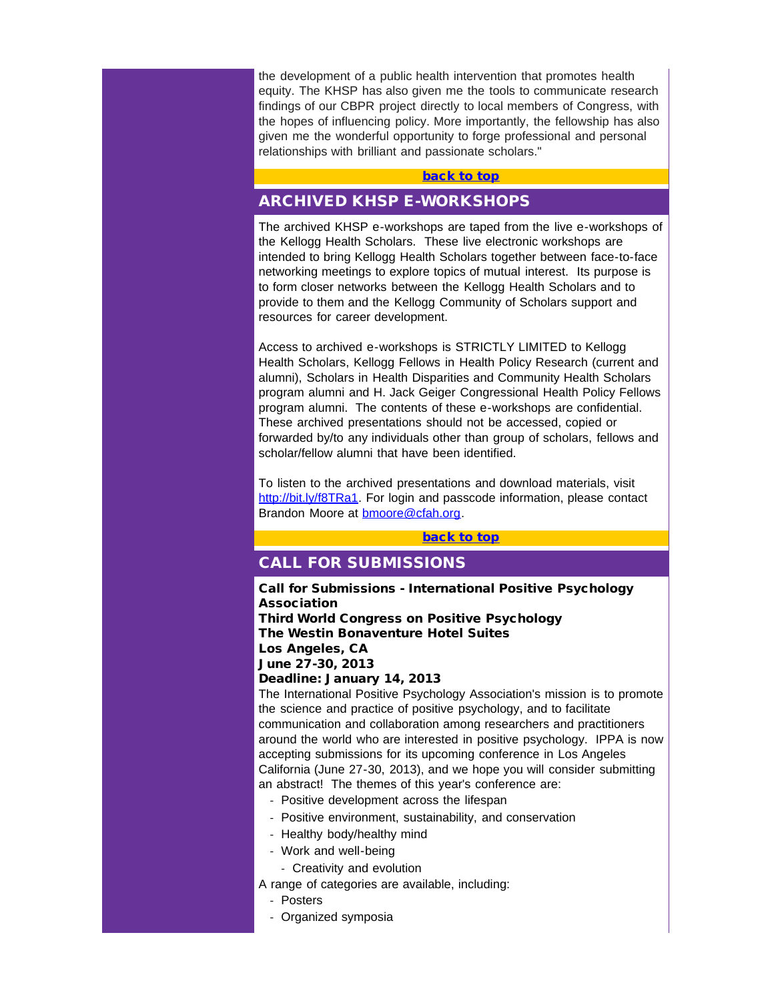<span id="page-2-0"></span>the development of a public health intervention that promotes health equity. The KHSP has also given me the tools to communicate research findings of our CBPR project directly to local members of Congress, with the hopes of influencing policy. More importantly, the fellowship has also given me the wonderful opportunity to forge professional and personal relationships with brilliant and passionate scholars."

### [back to top](#page-0-2)

## ARCHIVED KHSP E-WORKSHOPS

The archived KHSP e-workshops are taped from the live e-workshops of the Kellogg Health Scholars. These live electronic workshops are intended to bring Kellogg Health Scholars together between face-to-face networking meetings to explore topics of mutual interest. Its purpose is to form closer networks between the Kellogg Health Scholars and to provide to them and the Kellogg Community of Scholars support and resources for career development.

<span id="page-2-1"></span>Access to archived e-workshops is STRICTLY LIMITED to Kellogg Health Scholars, Kellogg Fellows in Health Policy Research (current and alumni), Scholars in Health Disparities and Community Health Scholars program alumni and H. Jack Geiger Congressional Health Policy Fellows program alumni. The contents of these e-workshops are confidential. These archived presentations should not be accessed, copied or forwarded by/to any individuals other than group of scholars, fellows and scholar/fellow alumni that have been identified.

To listen to the archived presentations and download materials, visit [http://bit.ly/f8TRa1.](http://r20.rs6.net/tn.jsp?e=0014xJLtunQVdjjHAB392Kl11pCPIuDCtkkzr4rCOSyPwci-HCju8E0v9y4MMMdyMU6UbeYXxIF59WeYm_9eBTxLkYoHQPctXnw4FAS2e-XZd_WOYQIIRmgHpi9tqt_A-Dr_g6LkVzi3sg=) For login and passcode information, please contact Brandon Moore at [bmoore@cfah.org.](mailto:bmoore@cfah.org)

#### [back to top](#page-0-2)

## CALL FOR SUBMISSIONS

Call for Submissions - International Positive Psychology **Association** Third World Congress on Positive Psychology The Westin Bonaventure Hotel Suites Los Angeles, CA June 27-30, 2013 Deadline: January 14, 2013 The International Positive Psychology Association's mission is to promote

the science and practice of positive psychology, and to facilitate communication and collaboration among researchers and practitioners around the world who are interested in positive psychology. IPPA is now accepting submissions for its upcoming conference in Los Angeles California (June 27-30, 2013), and we hope you will consider submitting an abstract! The themes of this year's conference are:

- Positive development across the lifespan
- Positive environment, sustainability, and conservation
- Healthy body/healthy mind
- Work and well-being
	- Creativity and evolution

A range of categories are available, including:

- Posters
- Organized symposia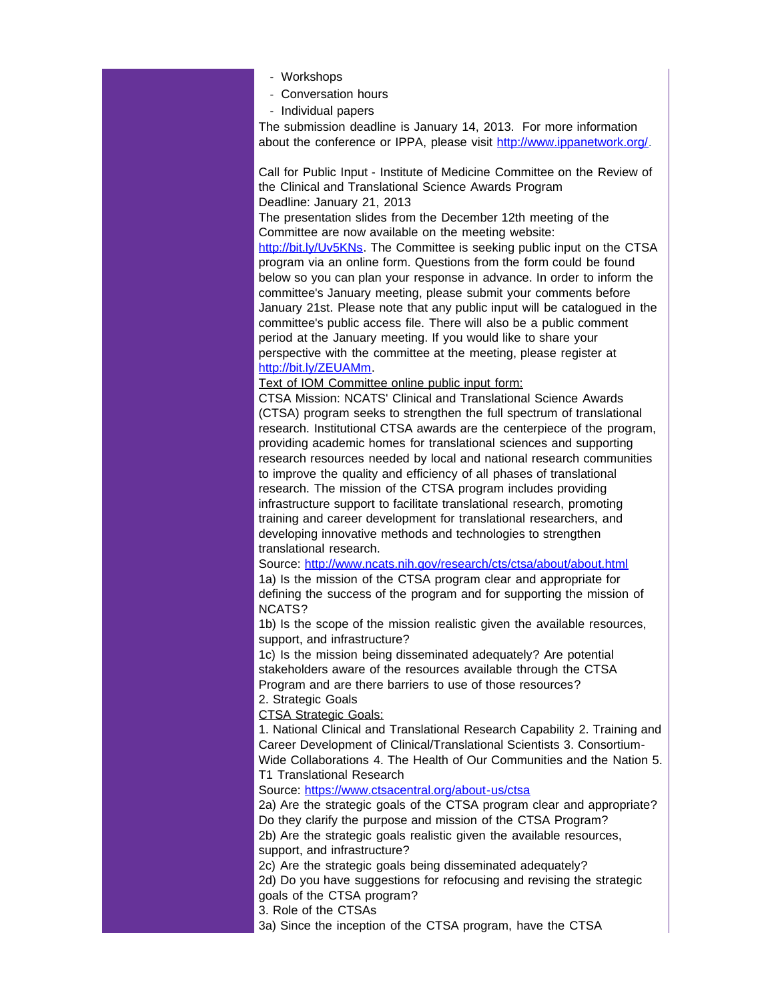- Workshops
- Conversation hours
- Individual papers

The submission deadline is January 14, 2013. For more information about the conference or IPPA, please visit [http://www.ippanetwork.org/](http://r20.rs6.net/tn.jsp?e=0014xJLtunQVdghwl9bMp2zwPkFBkXx1oCE2XGVwvcrAJNbTA0wPygAua5rcTC96ccAEN2ogS-VN8zaTtgPxZQ8L25VrilTgCEkLCvIqrHPeZhzRwQOGyP7TA==).

Call for Public Input - Institute of Medicine Committee on the Review of the Clinical and Translational Science Awards Program Deadline: January 21, 2013

The presentation slides from the December 12th meeting of the Committee are now available on the meeting website:

[http://bit.ly/Uv5KNs.](http://r20.rs6.net/tn.jsp?e=0014xJLtunQVdjXJKtNF5vL22Ver1HWNAb2fmhF2UQQAnvGafBXlt0jf7sZ6fraIuqHFXOfkyfhtb0ZVSXFjp5LEpyIFE1wMORaiIJqoIfMBvk=) The Committee is seeking public input on the CTSA program via an online form. Questions from the form could be found below so you can plan your response in advance. In order to inform the committee's January meeting, please submit your comments before January 21st. Please note that any public input will be catalogued in the committee's public access file. There will also be a public comment period at the January meeting. If you would like to share your perspective with the committee at the meeting, please register at [http://bit.ly/ZEUAMm](http://r20.rs6.net/tn.jsp?e=0014xJLtunQVdje0yFr6kYm49SijClyPCvpshJNxVeddcU8xIrgEuhtPpTPfEcl4k1LnTuqPCC-9GU4t24SpIkBJDKndlYiR54ROsbV_19cBZ4=).

Text of IOM Committee online public input form:

CTSA Mission: NCATS' Clinical and Translational Science Awards (CTSA) program seeks to strengthen the full spectrum of translational research. Institutional CTSA awards are the centerpiece of the program, providing academic homes for translational sciences and supporting research resources needed by local and national research communities to improve the quality and efficiency of all phases of translational research. The mission of the CTSA program includes providing infrastructure support to facilitate translational research, promoting training and career development for translational researchers, and developing innovative methods and technologies to strengthen translational research.

Source: [http://www.ncats.nih.gov/research/cts/ctsa/about/about.html](http://r20.rs6.net/tn.jsp?e=0014xJLtunQVdizwKOTVxK1odxOAK7DIvjfL7Oq2EEQGE1kPl5nDKJzIpl3N87kMGX8VbX7IOv665YTppcCLiRUHubDPJAOZxlOA0SZ2rW5pi8AN5kl8vyESDOTIaUVDYJDsyalWPSjVSzTOyOFt9G2kvneWAkchNEPS5AmudHte5E=) 1a) Is the mission of the CTSA program clear and appropriate for defining the success of the program and for supporting the mission of NCATS?

1b) Is the scope of the mission realistic given the available resources, support, and infrastructure?

1c) Is the mission being disseminated adequately? Are potential stakeholders aware of the resources available through the CTSA Program and are there barriers to use of those resources?

2. Strategic Goals

CTSA Strategic Goals:

1. National Clinical and Translational Research Capability 2. Training and Career Development of Clinical/Translational Scientists 3. Consortium-Wide Collaborations 4. The Health of Our Communities and the Nation 5. T1 Translational Research

Source: [https://www.ctsacentral.org/about-us/ctsa](http://r20.rs6.net/tn.jsp?e=0014xJLtunQVdjEZ5pEqOvrNFPtiYJtKy_AiubnQNtBsx3eOGzb0JiaaIGrOIr7UqTWerxyLE03d173kZkGWcsPywmgFR-WB9rgZ99YWab679PulXyxqrbzPYE-nFmuTOAhdHboPkojNhE=)

2a) Are the strategic goals of the CTSA program clear and appropriate? Do they clarify the purpose and mission of the CTSA Program? 2b) Are the strategic goals realistic given the available resources, support, and infrastructure?

2c) Are the strategic goals being disseminated adequately? 2d) Do you have suggestions for refocusing and revising the strategic goals of the CTSA program?

3. Role of the CTSAs

3a) Since the inception of the CTSA program, have the CTSA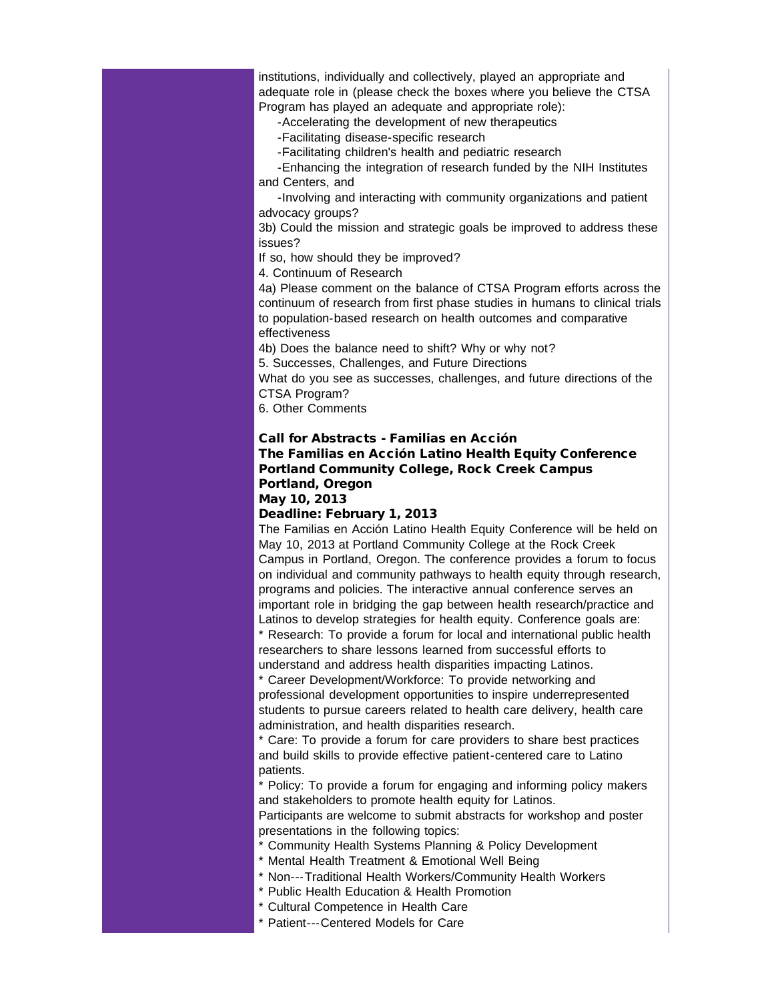institutions, individually and collectively, played an appropriate and adequate role in (please check the boxes where you believe the CTSA Program has played an adequate and appropriate role):

-Accelerating the development of new therapeutics

-Facilitating disease-specific research

-Facilitating children's health and pediatric research

 -Enhancing the integration of research funded by the NIH Institutes and Centers, and

 -Involving and interacting with community organizations and patient advocacy groups?

3b) Could the mission and strategic goals be improved to address these issues?

If so, how should they be improved?

4. Continuum of Research

4a) Please comment on the balance of CTSA Program efforts across the continuum of research from first phase studies in humans to clinical trials to population-based research on health outcomes and comparative effectiveness

4b) Does the balance need to shift? Why or why not?

5. Successes, Challenges, and Future Directions

What do you see as successes, challenges, and future directions of the CTSA Program?

6. Other Comments

## Call for Abstracts - Familias en Acción The Familias en Acción Latino Health Equity Conference Portland Community College, Rock Creek Campus Portland, Oregon May 10, 2013

### Deadline: February 1, 2013

The Familias en Acción Latino Health Equity Conference will be held on May 10, 2013 at Portland Community College at the Rock Creek Campus in Portland, Oregon. The conference provides a forum to focus on individual and community pathways to health equity through research, programs and policies. The interactive annual conference serves an important role in bridging the gap between health research/practice and Latinos to develop strategies for health equity. Conference goals are:

\* Research: To provide a forum for local and international public health researchers to share lessons learned from successful efforts to understand and address health disparities impacting Latinos.

\* Career Development/Workforce: To provide networking and professional development opportunities to inspire underrepresented students to pursue careers related to health care delivery, health care administration, and health disparities research.

\* Care: To provide a forum for care providers to share best practices and build skills to provide effective patient-centered care to Latino patients.

\* Policy: To provide a forum for engaging and informing policy makers and stakeholders to promote health equity for Latinos.

Participants are welcome to submit abstracts for workshop and poster presentations in the following topics:

Community Health Systems Planning & Policy Development

- \* Mental Health Treatment & Emotional Well Being
- \* Non---Traditional Health Workers/Community Health Workers
- \* Public Health Education & Health Promotion
- \* Cultural Competence in Health Care
- \* Patient---Centered Models for Care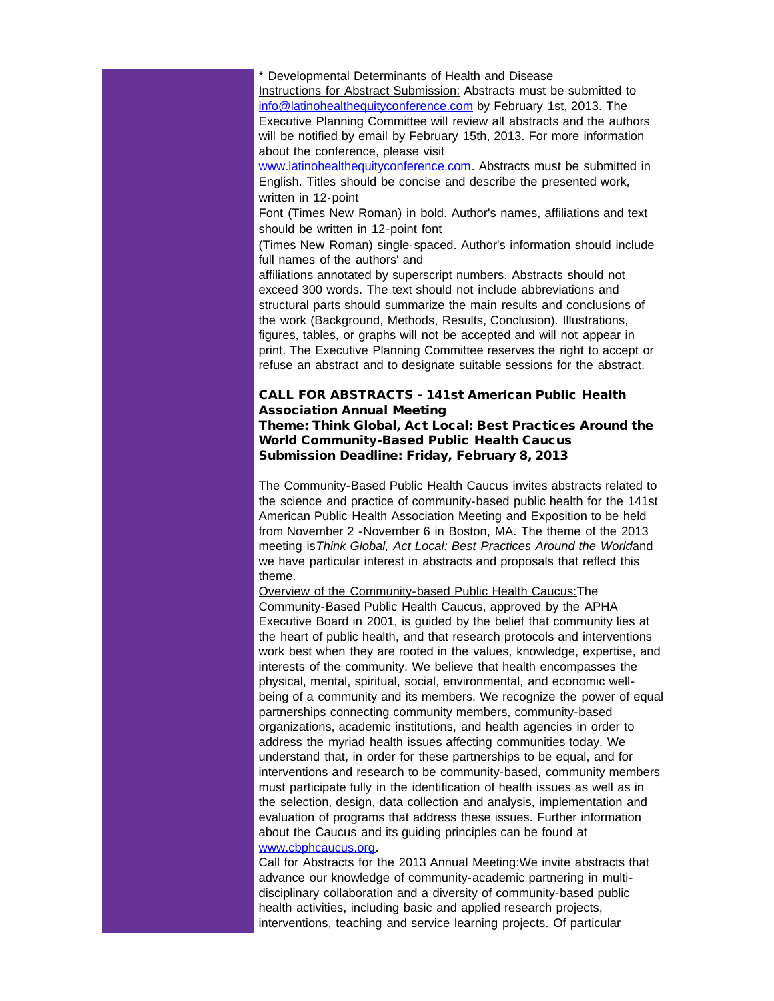\* Developmental Determinants of Health and Disease Instructions for Abstract Submission: Abstracts must be submitted to [info@latinohealthequityconference.com](mailto:info@latinohealthequityconference.com) by February 1st, 2013. The Executive Planning Committee will review all abstracts and the authors will be notified by email by February 15th, 2013. For more information about the conference, please visit

[www.latinohealthequityconference.com](http://r20.rs6.net/tn.jsp?e=0014xJLtunQVdhUvAFSiyY-3iuITHjeizCD8Ea6YnEjKBZjB-gwe7gx0JsFZsnaSlQmO8LY0NvqOy9yY30Yjw23ykGbG_r418mo7vdzWSqK3Iyu2d0uWbNgf2pXRa-_FN7_63AOzAogGtw=). Abstracts must be submitted in English. Titles should be concise and describe the presented work, written in 12-point

Font (Times New Roman) in bold. Author's names, affiliations and text should be written in 12-point font

(Times New Roman) single-spaced. Author's information should include full names of the authors' and

affiliations annotated by superscript numbers. Abstracts should not exceed 300 words. The text should not include abbreviations and structural parts should summarize the main results and conclusions of the work (Background, Methods, Results, Conclusion). Illustrations, figures, tables, or graphs will not be accepted and will not appear in print. The Executive Planning Committee reserves the right to accept or refuse an abstract and to designate suitable sessions for the abstract.

## CALL FOR ABSTRACTS - 141st American Public Health Association Annual Meeting

Theme: Think Global, Act Local: Best Practices Around the World Community-Based Public Health Caucus Submission Deadline: Friday, February 8, 2013

The Community-Based Public Health Caucus invites abstracts related to the science and practice of community-based public health for the 141st American Public Health Association Meeting and Exposition to be held from November 2 -November 6 in Boston, MA. The theme of the 2013 meeting is*Think Global, Act Local: Best Practices Around the World*and we have particular interest in abstracts and proposals that reflect this theme.

Overview of the Community-based Public Health Caucus:The Community-Based Public Health Caucus, approved by the APHA Executive Board in 2001, is guided by the belief that community lies at the heart of public health, and that research protocols and interventions work best when they are rooted in the values, knowledge, expertise, and interests of the community. We believe that health encompasses the physical, mental, spiritual, social, environmental, and economic wellbeing of a community and its members. We recognize the power of equal partnerships connecting community members, community-based organizations, academic institutions, and health agencies in order to address the myriad health issues affecting communities today. We understand that, in order for these partnerships to be equal, and for interventions and research to be community-based, community members must participate fully in the identification of health issues as well as in the selection, design, data collection and analysis, implementation and evaluation of programs that address these issues. Further information about the Caucus and its guiding principles can be found at [www.cbphcaucus.org](http://r20.rs6.net/tn.jsp?e=0014xJLtunQVdgMh0qWvf141N_huWCyu9M3N3UfJecri540ViDtFxB_RFG073PIz-GTCGu654UmUt5z_lk14LQ7jT0yaoBAM3YsRrO-MdAcGDY=).

Call for Abstracts for the 2013 Annual Meeting:We invite abstracts that advance our knowledge of community-academic partnering in multidisciplinary collaboration and a diversity of community-based public health activities, including basic and applied research projects, interventions, teaching and service learning projects. Of particular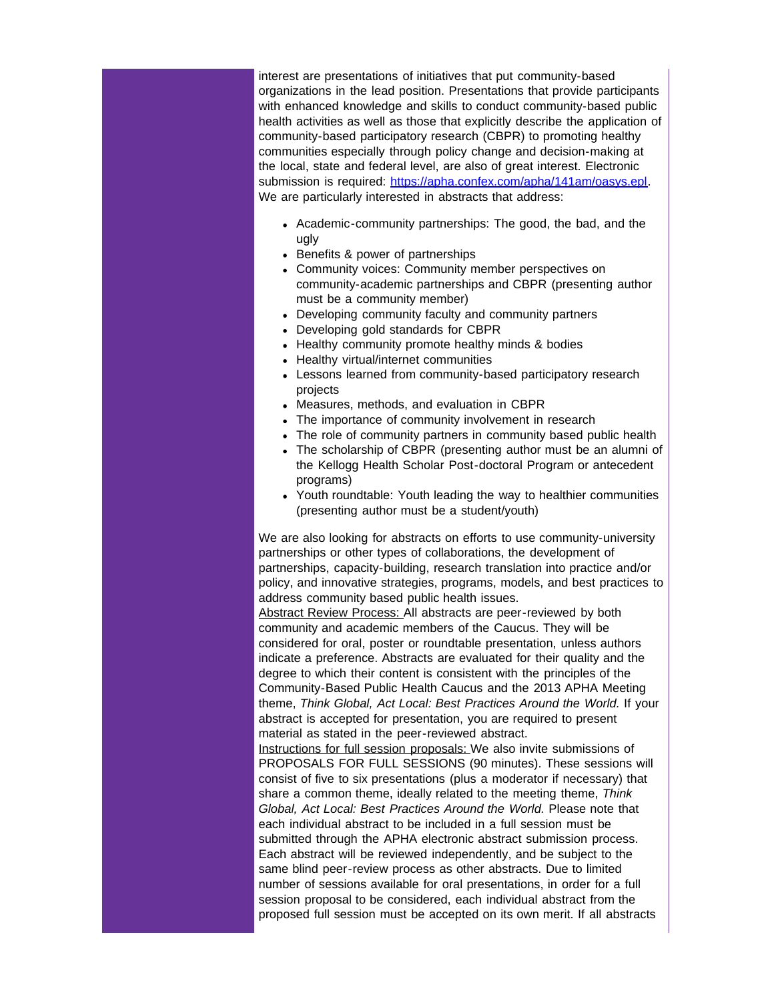interest are presentations of initiatives that put community-based organizations in the lead position. Presentations that provide participants with enhanced knowledge and skills to conduct community-based public health activities as well as those that explicitly describe the application of community-based participatory research (CBPR) to promoting healthy communities especially through policy change and decision-making at the local, state and federal level, are also of great interest. Electronic submission is required: [https://apha.confex.com/apha/141am/oasys.epl](http://r20.rs6.net/tn.jsp?e=0014xJLtunQVdjjY37BZSv0OzY692a7DNI5AAnKualw6mGsiAym2nx9p1fw4y_OQBaHr8eRXcs2VuiibAdvCjqegioEsZGBaCA3ZL24U3uI7tFZBzQWUDUWnI7yXINXzpLv12sI_cvzYV0=). We are particularly interested in abstracts that address:

- Academic-community partnerships: The good, the bad, and the ugly
- Benefits & power of partnerships
- Community voices: Community member perspectives on community-academic partnerships and CBPR (presenting author must be a community member)
- Developing community faculty and community partners
- Developing gold standards for CBPR
- Healthy community promote healthy minds & bodies
- Healthy virtual/internet communities
- Lessons learned from community-based participatory research projects
- Measures, methods, and evaluation in CBPR
- The importance of community involvement in research
- The role of community partners in community based public health
- The scholarship of CBPR (presenting author must be an alumni of the Kellogg Health Scholar Post-doctoral Program or antecedent programs)
- Youth roundtable: Youth leading the way to healthier communities (presenting author must be a student/youth)

We are also looking for abstracts on efforts to use community-university partnerships or other types of collaborations, the development of partnerships, capacity-building, research translation into practice and/or policy, and innovative strategies, programs, models, and best practices to address community based public health issues.

Abstract Review Process: All abstracts are peer-reviewed by both community and academic members of the Caucus. They will be considered for oral, poster or roundtable presentation, unless authors indicate a preference. Abstracts are evaluated for their quality and the degree to which their content is consistent with the principles of the Community-Based Public Health Caucus and the 2013 APHA Meeting theme, *Think Global, Act Local: Best Practices Around the World.* If your abstract is accepted for presentation, you are required to present material as stated in the peer-reviewed abstract.

Instructions for full session proposals: We also invite submissions of PROPOSALS FOR FULL SESSIONS (90 minutes). These sessions will consist of five to six presentations (plus a moderator if necessary) that share a common theme, ideally related to the meeting theme, *Think Global, Act Local: Best Practices Around the World.* Please note that each individual abstract to be included in a full session must be submitted through the APHA electronic abstract submission process. Each abstract will be reviewed independently, and be subject to the same blind peer-review process as other abstracts. Due to limited number of sessions available for oral presentations, in order for a full session proposal to be considered, each individual abstract from the proposed full session must be accepted on its own merit. If all abstracts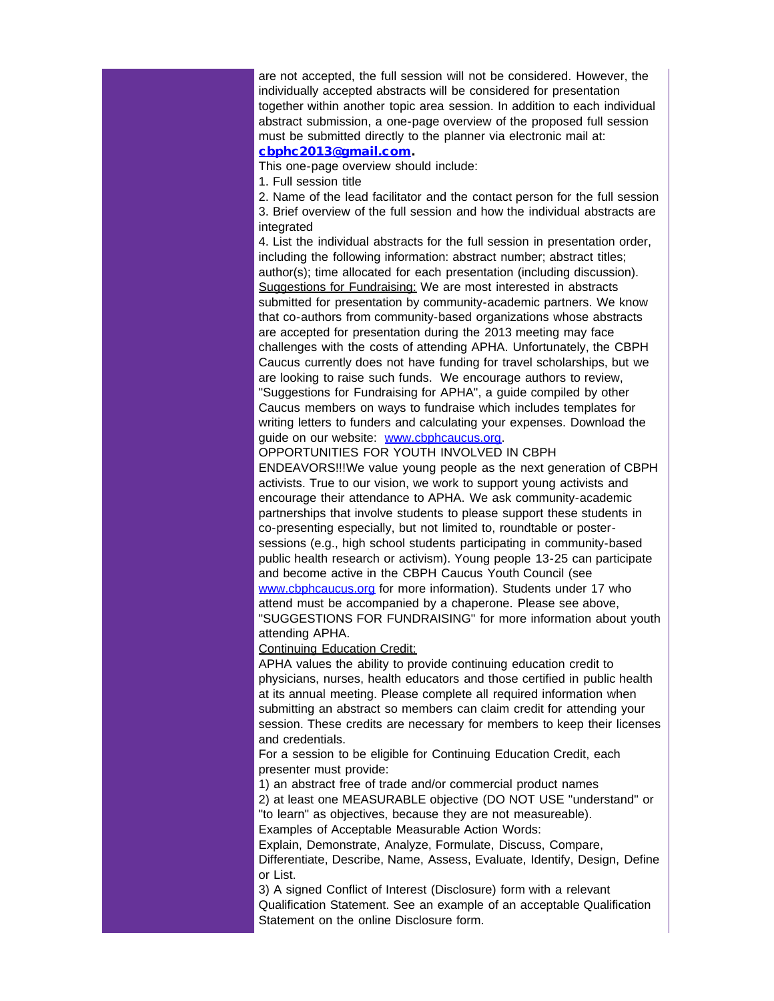are not accepted, the full session will not be considered. However, the individually accepted abstracts will be considered for presentation together within another topic area session. In addition to each individual abstract submission, a one-page overview of the proposed full session must be submitted directly to the planner via electronic mail at: [cbphc2013@gmail.com.](mailto:cbphc2013@gmail.com)

## This one-page overview should include:

1. Full session title

2. Name of the lead facilitator and the contact person for the full session 3. Brief overview of the full session and how the individual abstracts are integrated

4. List the individual abstracts for the full session in presentation order, including the following information: abstract number; abstract titles; author(s); time allocated for each presentation (including discussion). Suggestions for Fundraising: We are most interested in abstracts submitted for presentation by community-academic partners. We know that co-authors from community-based organizations whose abstracts are accepted for presentation during the 2013 meeting may face challenges with the costs of attending APHA. Unfortunately, the CBPH Caucus currently does not have funding for travel scholarships, but we are looking to raise such funds. We encourage authors to review, "Suggestions for Fundraising for APHA", a guide compiled by other Caucus members on ways to fundraise which includes templates for writing letters to funders and calculating your expenses. Download the guide on our website: [www.cbphcaucus.org.](http://r20.rs6.net/tn.jsp?e=0014xJLtunQVdjp-JBbs5WATQbC3qkBs-5rZpIxh2qju1d_Mmv30UYQbB-BF7YsG8i0kHIFof8G4OCVnoT16CMkadoh4veweaxDc8P9yggS1ESHLbuTO4E77A==)

OPPORTUNITIES FOR YOUTH INVOLVED IN CBPH

ENDEAVORS!!!We value young people as the next generation of CBPH activists. True to our vision, we work to support young activists and encourage their attendance to APHA. We ask community-academic partnerships that involve students to please support these students in co-presenting especially, but not limited to, roundtable or postersessions (e.g., high school students participating in community-based public health research or activism). Young people 13-25 can participate and become active in the CBPH Caucus Youth Council (see [www.cbphcaucus.org](http://r20.rs6.net/tn.jsp?e=0014xJLtunQVdgMh0qWvf141N_huWCyu9M3N3UfJecri540ViDtFxB_RFG073PIz-GTCGu654UmUt5z_lk14LQ7jT0yaoBAM3YsRrO-MdAcGDY=) for more information). Students under 17 who attend must be accompanied by a chaperone. Please see above, "SUGGESTIONS FOR FUNDRAISING" for more information about youth attending APHA.

Continuing Education Credit:

APHA values the ability to provide continuing education credit to physicians, nurses, health educators and those certified in public health at its annual meeting. Please complete all required information when submitting an abstract so members can claim credit for attending your session. These credits are necessary for members to keep their licenses and credentials.

For a session to be eligible for Continuing Education Credit, each presenter must provide:

1) an abstract free of trade and/or commercial product names

2) at least one MEASURABLE objective (DO NOT USE "understand" or "to learn" as objectives, because they are not measureable).

Examples of Acceptable Measurable Action Words:

Explain, Demonstrate, Analyze, Formulate, Discuss, Compare, Differentiate, Describe, Name, Assess, Evaluate, Identify, Design, Define or List.

3) A signed Conflict of Interest (Disclosure) form with a relevant Qualification Statement. See an example of an acceptable Qualification Statement on the online Disclosure form.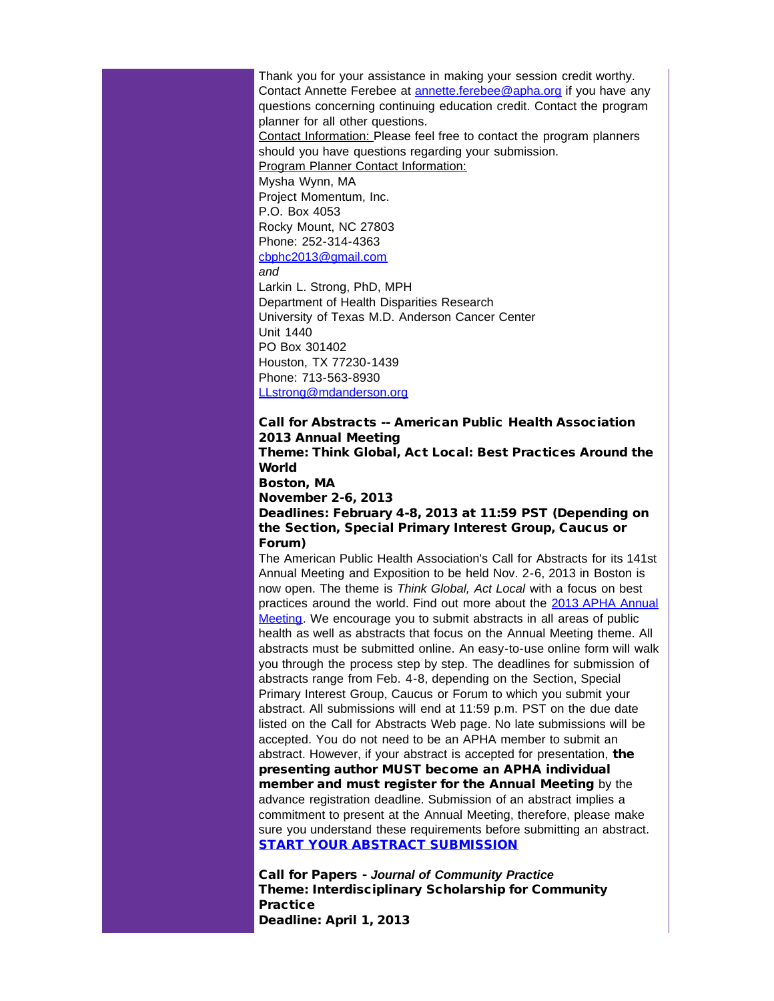Thank you for your assistance in making your session credit worthy. Contact Annette Ferebee at **annette** ferebee@apha.org if you have any questions concerning continuing education credit. Contact the program planner for all other questions. Contact Information: Please feel free to contact the program planners should you have questions regarding your submission. Program Planner Contact Information: Mysha Wynn, MA Project Momentum, Inc. P.O. Box 4053 Rocky Mount, NC 27803 Phone: 252-314-4363 [cbphc2013@gmail.com](mailto:cbphc2013@gmail.com) *and* Larkin L. Strong, PhD, MPH Department of Health Disparities Research University of Texas M.D. Anderson Cancer Center Unit 1440 PO Box 301402 Houston, TX 77230-1439 Phone: 713-563-8930 [LLstrong@mdanderson.org](mailto:LLstrong@mdanderson.org)

Call for Abstracts -- American Public Health Association 2013 Annual Meeting

Theme: Think Global, Act Local: Best Practices Around the **World** 

Boston, MA November 2-6, 2013

Deadlines: February 4-8, 2013 at 11:59 PST (Depending on the Section, Special Primary Interest Group, Caucus or Forum)

The American Public Health Association's Call for Abstracts for its 141st Annual Meeting and Exposition to be held Nov. 2-6, 2013 in Boston is now open. The theme is *Think Global, Act Local* with a focus on best practices around the world. Find out more about the [2013 APHA Annual](http://r20.rs6.net/tn.jsp?e=0014xJLtunQVdjOo1VlJnWknDEeQkodIZyUBJPTBTHCeYhEyLVSEbxG5QhYFi4R8aqnUbAdm1mG7s9EvlbQs2eyQShUcMNZMeFYZ2cxnke64qUToRRtNB6KjpwIJhZ5yUkq0S3R5JqfL-ZAHNAoPhbO3ZbgTxhktl8K) [Meeting.](http://r20.rs6.net/tn.jsp?e=0014xJLtunQVdjOo1VlJnWknDEeQkodIZyUBJPTBTHCeYhEyLVSEbxG5QhYFi4R8aqnUbAdm1mG7s9EvlbQs2eyQShUcMNZMeFYZ2cxnke64qUToRRtNB6KjpwIJhZ5yUkq0S3R5JqfL-ZAHNAoPhbO3ZbgTxhktl8K) We encourage you to submit abstracts in all areas of public health as well as abstracts that focus on the Annual Meeting theme. All abstracts must be submitted online. An easy-to-use online form will walk you through the process step by step. The deadlines for submission of abstracts range from Feb. 4-8, depending on the Section, Special Primary Interest Group, Caucus or Forum to which you submit your abstract. All submissions will end at 11:59 p.m. PST on the due date listed on the Call for Abstracts Web page. No late submissions will be accepted. You do not need to be an APHA member to submit an abstract. However, if your abstract is accepted for presentation, the presenting author MUST become an APHA individual member and must register for the Annual Meeting by the advance registration deadline. Submission of an abstract implies a commitment to present at the Annual Meeting, therefore, please make sure you understand these requirements before submitting an abstract. [START YOUR ABSTRACT SUBMISSION](http://r20.rs6.net/tn.jsp?e=0014xJLtunQVdj6CgboDc2uHl6hkbB5eB8legWhn3zs2zX6qtaQN86lgbNA2td3p0YoJXN5aKglOhYcEGzET-DClh6n1VveobpKg97B6wN74MynJI2tjrWWCWySzMOUWTuRAYIXwY4y_5W1iG2TXr2i5Jsb73Eaj3md)

Call for Papers - *Journal of Community Practice* Theme: Interdisciplinary Scholarship for Community **Practice** Deadline: April 1, 2013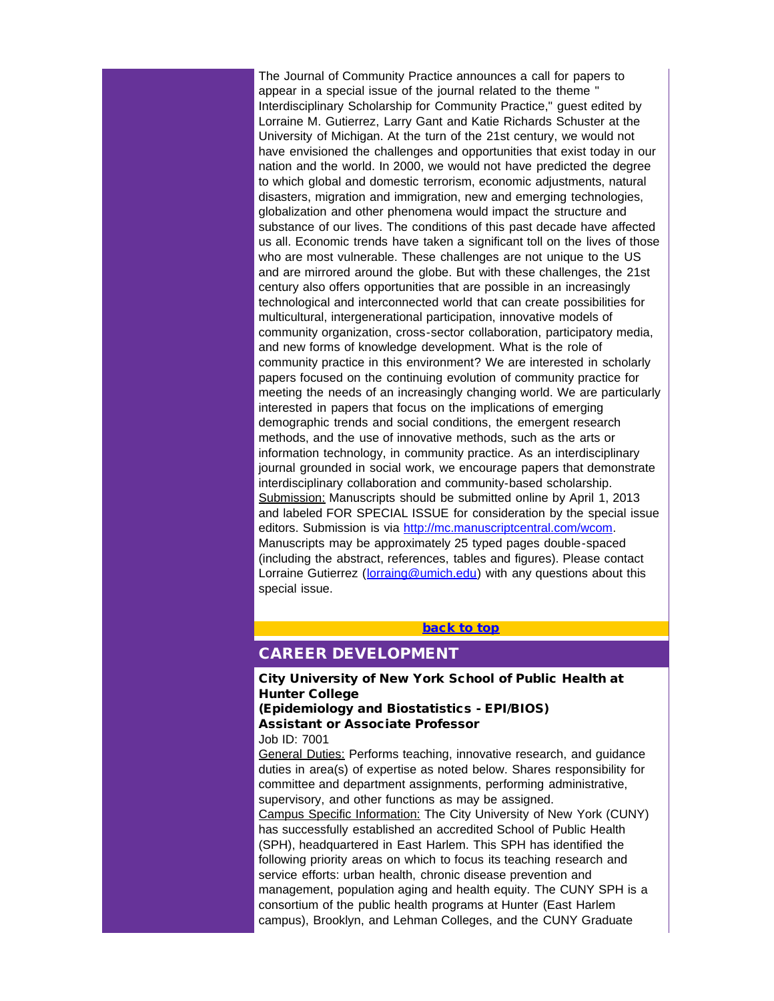The Journal of Community Practice announces a call for papers to appear in a special issue of the journal related to the theme " Interdisciplinary Scholarship for Community Practice," guest edited by Lorraine M. Gutierrez, Larry Gant and Katie Richards Schuster at the University of Michigan. At the turn of the 21st century, we would not have envisioned the challenges and opportunities that exist today in our nation and the world. In 2000, we would not have predicted the degree to which global and domestic terrorism, economic adjustments, natural disasters, migration and immigration, new and emerging technologies, globalization and other phenomena would impact the structure and substance of our lives. The conditions of this past decade have affected us all. Economic trends have taken a significant toll on the lives of those who are most vulnerable. These challenges are not unique to the US and are mirrored around the globe. But with these challenges, the 21st century also offers opportunities that are possible in an increasingly technological and interconnected world that can create possibilities for multicultural, intergenerational participation, innovative models of community organization, cross-sector collaboration, participatory media, and new forms of knowledge development. What is the role of community practice in this environment? We are interested in scholarly papers focused on the continuing evolution of community practice for meeting the needs of an increasingly changing world. We are particularly interested in papers that focus on the implications of emerging demographic trends and social conditions, the emergent research methods, and the use of innovative methods, such as the arts or information technology, in community practice. As an interdisciplinary journal grounded in social work, we encourage papers that demonstrate interdisciplinary collaboration and community-based scholarship. Submission: Manuscripts should be submitted online by April 1, 2013 and labeled FOR SPECIAL ISSUE for consideration by the special issue editors. Submission is via [http://mc.manuscriptcentral.com/wcom](http://r20.rs6.net/tn.jsp?e=0014xJLtunQVdgSoXxKNG4VEdY2gaz6msHRIj40uSUErJPZbP8EmANtFk9E2DnF5iHx8yATiKTu2g6WbjxFZ4ya-oiAlmBR12oGQlU7cLShKI61LeWCVtFvg4G-xX7kx4rT). Manuscripts may be approximately 25 typed pages double-spaced (including the abstract, references, tables and figures). Please contact Lorraine Gutierrez ([lorraing@umich.edu](mailto:lorraing@umich.edu)) with any questions about this special issue.

### [back to top](#page-0-2)

### <span id="page-9-0"></span>CAREER DEVELOPMENT

City University of New York School of Public Health at Hunter College (Epidemiology and Biostatistics - EPI/BIOS) Assistant or Associate Professor Job ID: 7001

General Duties: Performs teaching, innovative research, and guidance duties in area(s) of expertise as noted below. Shares responsibility for committee and department assignments, performing administrative, supervisory, and other functions as may be assigned.

Campus Specific Information: The City University of New York (CUNY) has successfully established an accredited School of Public Health (SPH), headquartered in East Harlem. This SPH has identified the following priority areas on which to focus its teaching research and service efforts: urban health, chronic disease prevention and management, population aging and health equity. The CUNY SPH is a consortium of the public health programs at Hunter (East Harlem campus), Brooklyn, and Lehman Colleges, and the CUNY Graduate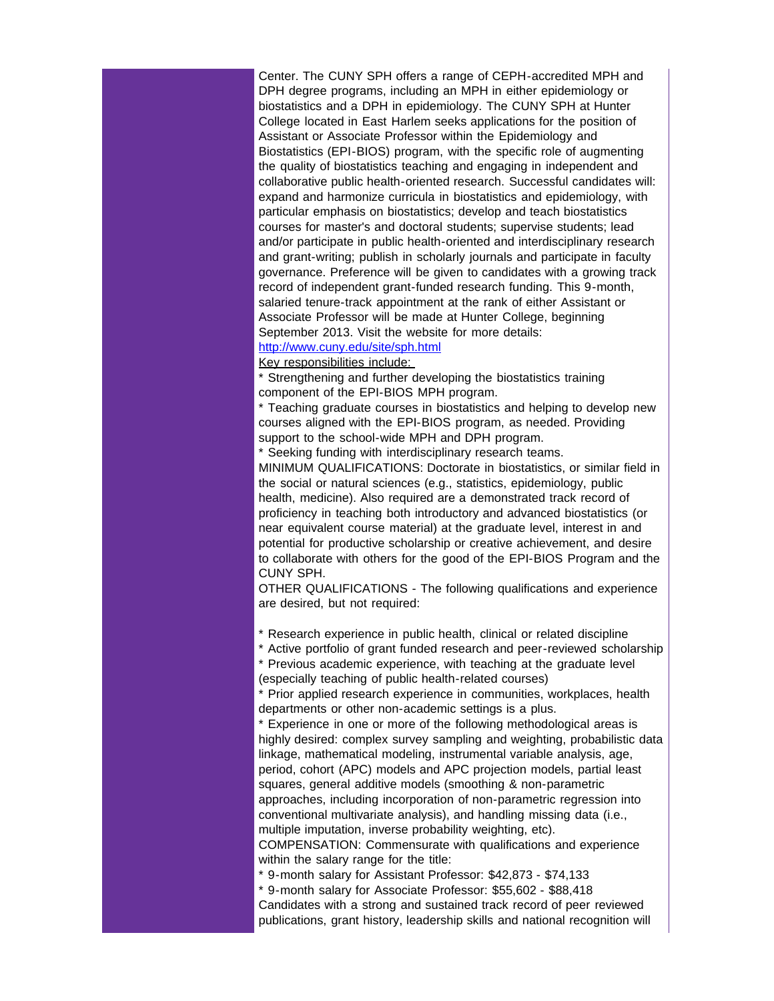Center. The CUNY SPH offers a range of CEPH-accredited MPH and DPH degree programs, including an MPH in either epidemiology or biostatistics and a DPH in epidemiology. The CUNY SPH at Hunter College located in East Harlem seeks applications for the position of Assistant or Associate Professor within the Epidemiology and Biostatistics (EPI-BIOS) program, with the specific role of augmenting the quality of biostatistics teaching and engaging in independent and collaborative public health-oriented research. Successful candidates will: expand and harmonize curricula in biostatistics and epidemiology, with particular emphasis on biostatistics; develop and teach biostatistics courses for master's and doctoral students; supervise students; lead and/or participate in public health-oriented and interdisciplinary research and grant-writing; publish in scholarly journals and participate in faculty governance. Preference will be given to candidates with a growing track record of independent grant-funded research funding. This 9-month, salaried tenure-track appointment at the rank of either Assistant or Associate Professor will be made at Hunter College, beginning September 2013. Visit the website for more details:

## [http://www.cuny.edu/site/sph.html](http://r20.rs6.net/tn.jsp?e=0014xJLtunQVdhFiynv7MPNw6oeUsC3MOQ447n20urHk8w3XWATcDTpzTJqwosHuhlHqhRKWS89IFNpWiGDpKgvbpEqorrAGKy8PLgPDRqoVZ0OMHsZVkFq0pzvC31ZCe_g)

## Key responsibilities include:

\* Strengthening and further developing the biostatistics training component of the EPI-BIOS MPH program.

\* Teaching graduate courses in biostatistics and helping to develop new courses aligned with the EPI-BIOS program, as needed. Providing support to the school-wide MPH and DPH program.

\* Seeking funding with interdisciplinary research teams.

MINIMUM QUALIFICATIONS: Doctorate in biostatistics, or similar field in the social or natural sciences (e.g., statistics, epidemiology, public health, medicine). Also required are a demonstrated track record of proficiency in teaching both introductory and advanced biostatistics (or near equivalent course material) at the graduate level, interest in and potential for productive scholarship or creative achievement, and desire to collaborate with others for the good of the EPI-BIOS Program and the CUNY SPH.

OTHER QUALIFICATIONS - The following qualifications and experience are desired, but not required:

\* Research experience in public health, clinical or related discipline

\* Active portfolio of grant funded research and peer-reviewed scholarship \* Previous academic experience, with teaching at the graduate level (especially teaching of public health-related courses)

\* Prior applied research experience in communities, workplaces, health departments or other non-academic settings is a plus.

\* Experience in one or more of the following methodological areas is highly desired: complex survey sampling and weighting, probabilistic data linkage, mathematical modeling, instrumental variable analysis, age, period, cohort (APC) models and APC projection models, partial least squares, general additive models (smoothing & non-parametric approaches, including incorporation of non-parametric regression into conventional multivariate analysis), and handling missing data (i.e., multiple imputation, inverse probability weighting, etc).

COMPENSATION: Commensurate with qualifications and experience within the salary range for the title:

\* 9-month salary for Assistant Professor: \$42,873 - \$74,133

\* 9-month salary for Associate Professor: \$55,602 - \$88,418 Candidates with a strong and sustained track record of peer reviewed publications, grant history, leadership skills and national recognition will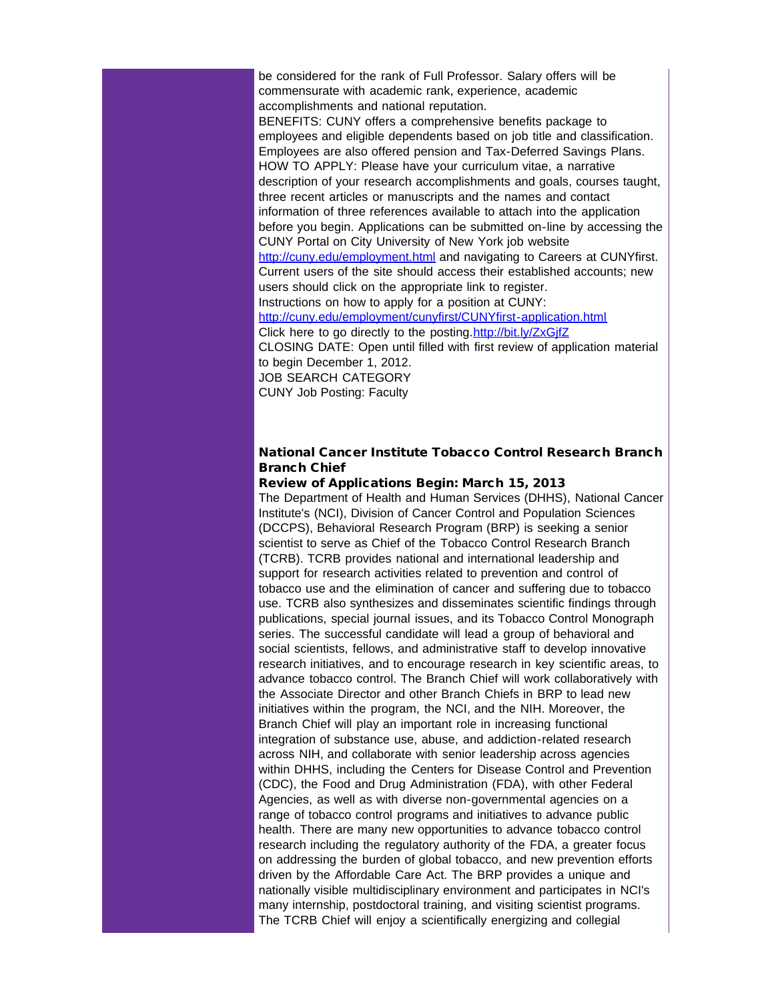be considered for the rank of Full Professor. Salary offers will be commensurate with academic rank, experience, academic accomplishments and national reputation. BENEFITS: CUNY offers a comprehensive benefits package to employees and eligible dependents based on job title and classification. Employees are also offered pension and Tax-Deferred Savings Plans. HOW TO APPLY: Please have your curriculum vitae, a narrative description of your research accomplishments and goals, courses taught, three recent articles or manuscripts and the names and contact information of three references available to attach into the application before you begin. Applications can be submitted on-line by accessing the CUNY Portal on City University of New York job website [http://cuny.edu/employment.html](http://r20.rs6.net/tn.jsp?e=0014xJLtunQVdhyjlGwoYNVp34DD0G6tsJG1dfgX9GeYMdk3oGq5V30plOTh7nY9QWxszK1NwiQdYN9U8VcXW4w0F1APf8ylCZono1BAs-880v0vsxW_gy8_w==) and navigating to Careers at CUNYfirst. Current users of the site should access their established accounts; new users should click on the appropriate link to register. Instructions on how to apply for a position at CUNY: [http://cuny.edu/employment/cunyfirst/CUNYfirst-application.html](http://r20.rs6.net/tn.jsp?e=0014xJLtunQVdhAIA3egzG4D_tElOKwgugwqA2WAQRe7hy2BYyA1r0bZSel2eMatrgTna2wunzstLnvrk9byzwJrMUgRmubQyettRFVbnjbOH0SrAMsHjHrOLSR2_XkhlEVoDnQdwSv63GXnTN0sSSTLrHW6JJcVPPQ8x0nhZTYh6A=) Click here to go directly to the posting.[http://bit.ly/ZxGjfZ](http://r20.rs6.net/tn.jsp?e=0014xJLtunQVdjw1tDMhluSGyyoPlIT6aX52YwMNmRFHMXgVOhGtEQlz2Ia19-FWkeGT9Uah_Qx01abA6WUdai5gXzc9v_XnZPBVejUTvHGkbI=)

CLOSING DATE: Open until filled with first review of application material to begin December 1, 2012. JOB SEARCH CATEGORY

CUNY Job Posting: Faculty

## National Cancer Institute Tobacco Control Research Branch Branch Chief

### Review of Applications Begin: March 15, 2013

The Department of Health and Human Services (DHHS), National Cancer Institute's (NCI), Division of Cancer Control and Population Sciences (DCCPS), Behavioral Research Program (BRP) is seeking a senior scientist to serve as Chief of the Tobacco Control Research Branch (TCRB). TCRB provides national and international leadership and support for research activities related to prevention and control of tobacco use and the elimination of cancer and suffering due to tobacco use. TCRB also synthesizes and disseminates scientific findings through publications, special journal issues, and its Tobacco Control Monograph series. The successful candidate will lead a group of behavioral and social scientists, fellows, and administrative staff to develop innovative research initiatives, and to encourage research in key scientific areas, to advance tobacco control. The Branch Chief will work collaboratively with the Associate Director and other Branch Chiefs in BRP to lead new initiatives within the program, the NCI, and the NIH. Moreover, the Branch Chief will play an important role in increasing functional integration of substance use, abuse, and addiction-related research across NIH, and collaborate with senior leadership across agencies within DHHS, including the Centers for Disease Control and Prevention (CDC), the Food and Drug Administration (FDA), with other Federal Agencies, as well as with diverse non-governmental agencies on a range of tobacco control programs and initiatives to advance public health. There are many new opportunities to advance tobacco control research including the regulatory authority of the FDA, a greater focus on addressing the burden of global tobacco, and new prevention efforts driven by the Affordable Care Act. The BRP provides a unique and nationally visible multidisciplinary environment and participates in NCI's many internship, postdoctoral training, and visiting scientist programs. The TCRB Chief will enjoy a scientifically energizing and collegial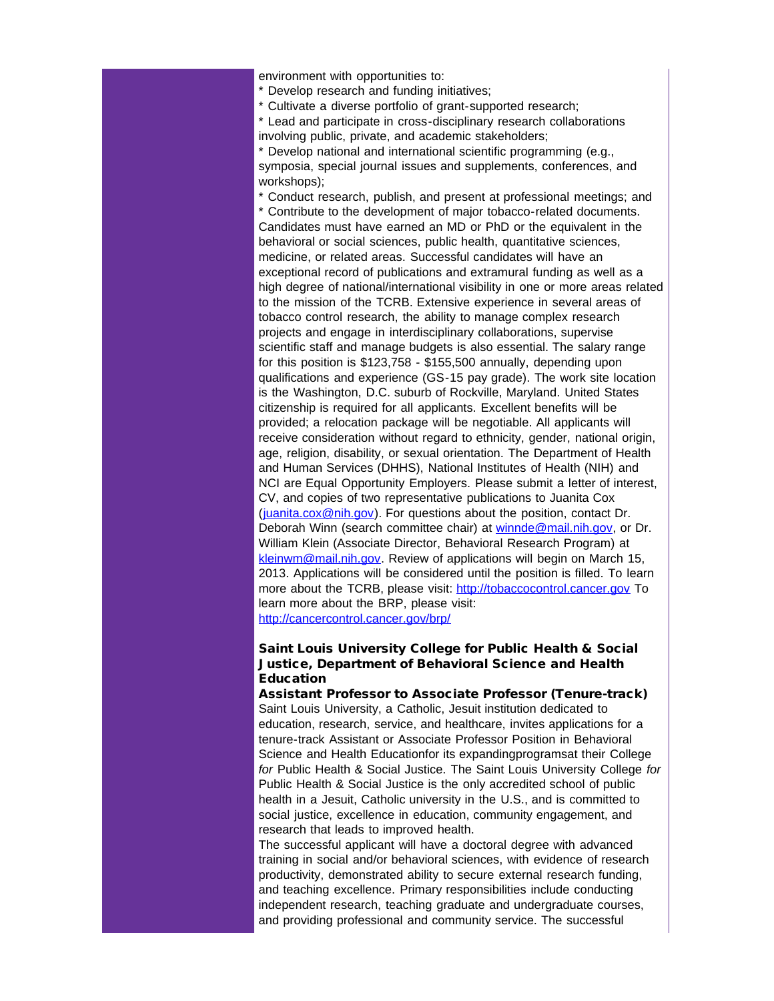environment with opportunities to:

\* Develop research and funding initiatives;

\* Cultivate a diverse portfolio of grant-supported research;

\* Lead and participate in cross-disciplinary research collaborations involving public, private, and academic stakeholders;

\* Develop national and international scientific programming (e.g., symposia, special journal issues and supplements, conferences, and workshops);

\* Conduct research, publish, and present at professional meetings; and \* Contribute to the development of major tobacco-related documents. Candidates must have earned an MD or PhD or the equivalent in the behavioral or social sciences, public health, quantitative sciences, medicine, or related areas. Successful candidates will have an exceptional record of publications and extramural funding as well as a high degree of national/international visibility in one or more areas related to the mission of the TCRB. Extensive experience in several areas of tobacco control research, the ability to manage complex research projects and engage in interdisciplinary collaborations, supervise scientific staff and manage budgets is also essential. The salary range for this position is \$123,758 - \$155,500 annually, depending upon qualifications and experience (GS-15 pay grade). The work site location is the Washington, D.C. suburb of Rockville, Maryland. United States citizenship is required for all applicants. Excellent benefits will be provided; a relocation package will be negotiable. All applicants will receive consideration without regard to ethnicity, gender, national origin, age, religion, disability, or sexual orientation. The Department of Health and Human Services (DHHS), National Institutes of Health (NIH) and NCI are Equal Opportunity Employers. Please submit a letter of interest, CV, and copies of two representative publications to Juanita Cox ([juanita.cox@nih.gov](mailto:juanita.cox@nih.gov)). For questions about the position, contact Dr. Deborah Winn (search committee chair) at [winnde@mail.nih.gov](mailto:winnde@mail.nih.gov), or Dr. William Klein (Associate Director, Behavioral Research Program) at [kleinwm@mail.nih.gov.](mailto:kleinwm@mail.nih.gov) Review of applications will begin on March 15, 2013. Applications will be considered until the position is filled. To learn more about the TCRB, please visit: [http://tobaccocontrol.cancer.gov](http://r20.rs6.net/tn.jsp?e=0014xJLtunQVdiKcNyFP0ohjEulRidY9C5eygVJHifNNVi7p2PGtcHf7Uc7DtRB22n8jHUBRm71qnPpZPBjx2aJIGhj9275_kf_Ci8CyXfoV0cpl_Vzltt96Q==) To learn more about the BRP, please visit:

[http://cancercontrol.cancer.gov/brp/](http://r20.rs6.net/tn.jsp?e=0014xJLtunQVdgJL2xfeEOdXlIO2lcfG-mD2AUfqvxedqIzkxMGPdUxWk3y_vRGyDVo3ZPe6RWP0Fr440bIwtAD00Akd-TXQSOgiqSantIchd3sG211aw6IEdFBxYHkOI9l)

## Saint Louis University College for Public Health & Social Justice, Department of Behavioral Science and Health Education

Assistant Professor to Associate Professor (Tenure-track) Saint Louis University, a Catholic, Jesuit institution dedicated to education, research, service, and healthcare, invites applications for a tenure-track Assistant or Associate Professor Position in Behavioral Science and Health Educationfor its expandingprogramsat their College *for* Public Health & Social Justice. The Saint Louis University College *for* Public Health & Social Justice is the only accredited school of public health in a Jesuit, Catholic university in the U.S., and is committed to social justice, excellence in education, community engagement, and research that leads to improved health.

The successful applicant will have a doctoral degree with advanced training in social and/or behavioral sciences, with evidence of research productivity, demonstrated ability to secure external research funding, and teaching excellence. Primary responsibilities include conducting independent research, teaching graduate and undergraduate courses, and providing professional and community service. The successful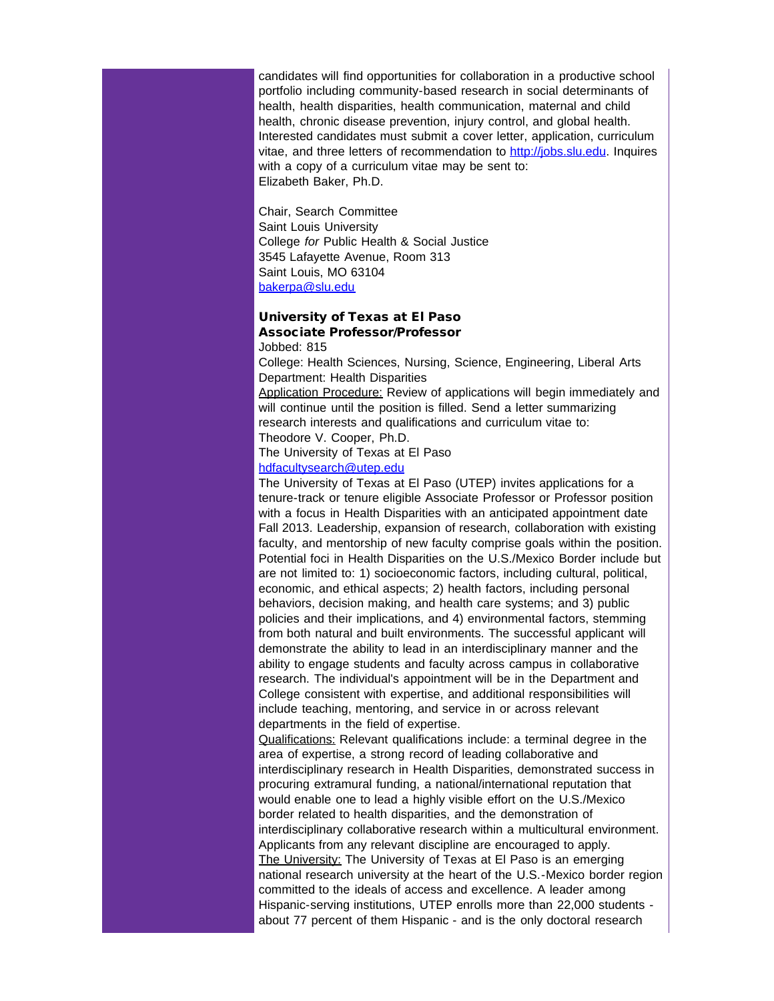candidates will find opportunities for collaboration in a productive school portfolio including community-based research in social determinants of health, health disparities, health communication, maternal and child health, chronic disease prevention, injury control, and global health. Interested candidates must submit a cover letter, application, curriculum vitae, and three letters of recommendation to [http://jobs.slu.edu.](http://r20.rs6.net/tn.jsp?e=0014xJLtunQVdh8o0wTBVPpoSqtWnxqxHC_yfv4Spmjie5f7jxl8-n2sfaZIAhpIe20xgiPHnk3z59IFpwkZSQfQxwEtcqdWzUsXppwSihsJh8=) Inquires with a copy of a curriculum vitae may be sent to: Elizabeth Baker, Ph.D.

Chair, Search Committee Saint Louis University College *for* Public Health & Social Justice 3545 Lafayette Avenue, Room 313 Saint Louis, MO 63104 [bakerpa@slu.edu](mailto:bakerpa@slu.edu)

## University of Texas at El Paso Associate Professor/Professor

Jobbed: 815

College: Health Sciences, Nursing, Science, Engineering, Liberal Arts Department: Health Disparities

Application Procedure: Review of applications will begin immediately and will continue until the position is filled. Send a letter summarizing research interests and qualifications and curriculum vitae to:

Theodore V. Cooper, Ph.D.

The University of Texas at El Paso

## [hdfacultysearch@utep.edu](mailto:hdfacultysearch@utep.edu)

The University of Texas at El Paso (UTEP) invites applications for a tenure-track or tenure eligible Associate Professor or Professor position with a focus in Health Disparities with an anticipated appointment date Fall 2013. Leadership, expansion of research, collaboration with existing faculty, and mentorship of new faculty comprise goals within the position. Potential foci in Health Disparities on the U.S./Mexico Border include but are not limited to: 1) socioeconomic factors, including cultural, political, economic, and ethical aspects; 2) health factors, including personal behaviors, decision making, and health care systems; and 3) public policies and their implications, and 4) environmental factors, stemming from both natural and built environments. The successful applicant will demonstrate the ability to lead in an interdisciplinary manner and the ability to engage students and faculty across campus in collaborative research. The individual's appointment will be in the Department and College consistent with expertise, and additional responsibilities will include teaching, mentoring, and service in or across relevant departments in the field of expertise.

Qualifications: Relevant qualifications include: a terminal degree in the area of expertise, a strong record of leading collaborative and interdisciplinary research in Health Disparities, demonstrated success in procuring extramural funding, a national/international reputation that would enable one to lead a highly visible effort on the U.S./Mexico border related to health disparities, and the demonstration of interdisciplinary collaborative research within a multicultural environment. Applicants from any relevant discipline are encouraged to apply. The University: The University of Texas at El Paso is an emerging national research university at the heart of the U.S.-Mexico border region committed to the ideals of access and excellence. A leader among Hispanic-serving institutions, UTEP enrolls more than 22,000 students about 77 percent of them Hispanic - and is the only doctoral research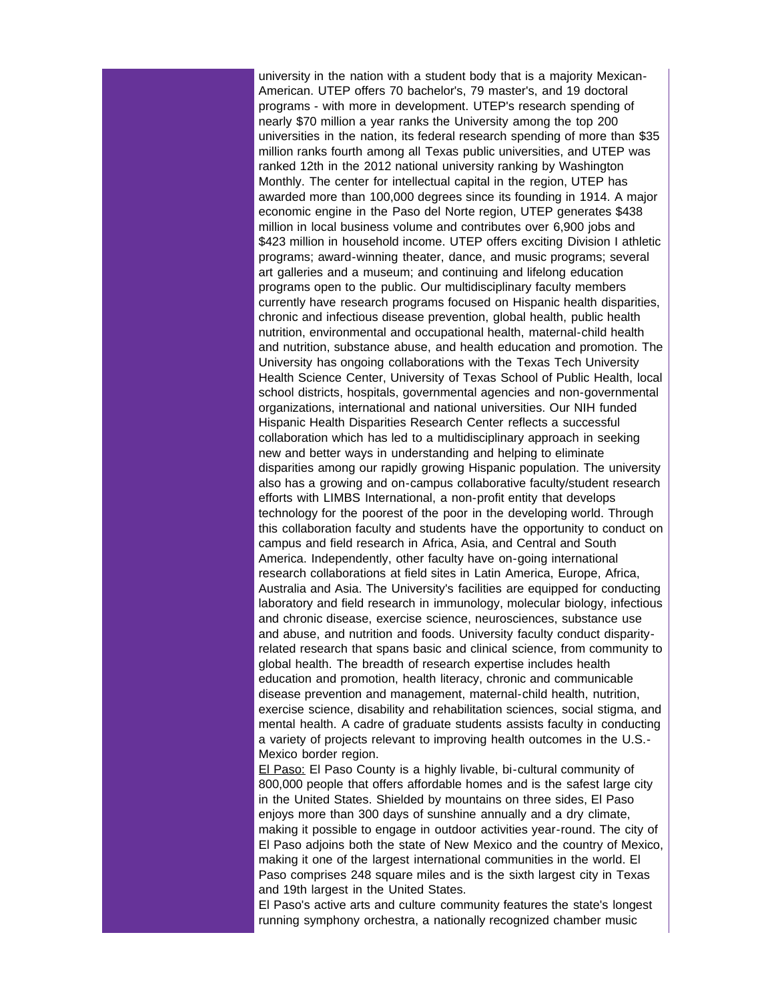university in the nation with a student body that is a majority Mexican-American. UTEP offers 70 bachelor's, 79 master's, and 19 doctoral programs - with more in development. UTEP's research spending of nearly \$70 million a year ranks the University among the top 200 universities in the nation, its federal research spending of more than \$35 million ranks fourth among all Texas public universities, and UTEP was ranked 12th in the 2012 national university ranking by Washington Monthly. The center for intellectual capital in the region, UTEP has awarded more than 100,000 degrees since its founding in 1914. A major economic engine in the Paso del Norte region, UTEP generates \$438 million in local business volume and contributes over 6,900 jobs and \$423 million in household income. UTEP offers exciting Division I athletic programs; award-winning theater, dance, and music programs; several art galleries and a museum; and continuing and lifelong education programs open to the public. Our multidisciplinary faculty members currently have research programs focused on Hispanic health disparities, chronic and infectious disease prevention, global health, public health nutrition, environmental and occupational health, maternal-child health and nutrition, substance abuse, and health education and promotion. The University has ongoing collaborations with the Texas Tech University Health Science Center, University of Texas School of Public Health, local school districts, hospitals, governmental agencies and non-governmental organizations, international and national universities. Our NIH funded Hispanic Health Disparities Research Center reflects a successful collaboration which has led to a multidisciplinary approach in seeking new and better ways in understanding and helping to eliminate disparities among our rapidly growing Hispanic population. The university also has a growing and on-campus collaborative faculty/student research efforts with LIMBS International, a non-profit entity that develops technology for the poorest of the poor in the developing world. Through this collaboration faculty and students have the opportunity to conduct on campus and field research in Africa, Asia, and Central and South America. Independently, other faculty have on-going international research collaborations at field sites in Latin America, Europe, Africa, Australia and Asia. The University's facilities are equipped for conducting laboratory and field research in immunology, molecular biology, infectious and chronic disease, exercise science, neurosciences, substance use and abuse, and nutrition and foods. University faculty conduct disparityrelated research that spans basic and clinical science, from community to global health. The breadth of research expertise includes health education and promotion, health literacy, chronic and communicable disease prevention and management, maternal-child health, nutrition, exercise science, disability and rehabilitation sciences, social stigma, and mental health. A cadre of graduate students assists faculty in conducting a variety of projects relevant to improving health outcomes in the U.S.- Mexico border region.

El Paso: El Paso County is a highly livable, bi-cultural community of 800,000 people that offers affordable homes and is the safest large city in the United States. Shielded by mountains on three sides, El Paso enjoys more than 300 days of sunshine annually and a dry climate, making it possible to engage in outdoor activities year-round. The city of El Paso adjoins both the state of New Mexico and the country of Mexico, making it one of the largest international communities in the world. El Paso comprises 248 square miles and is the sixth largest city in Texas and 19th largest in the United States.

El Paso's active arts and culture community features the state's longest running symphony orchestra, a nationally recognized chamber music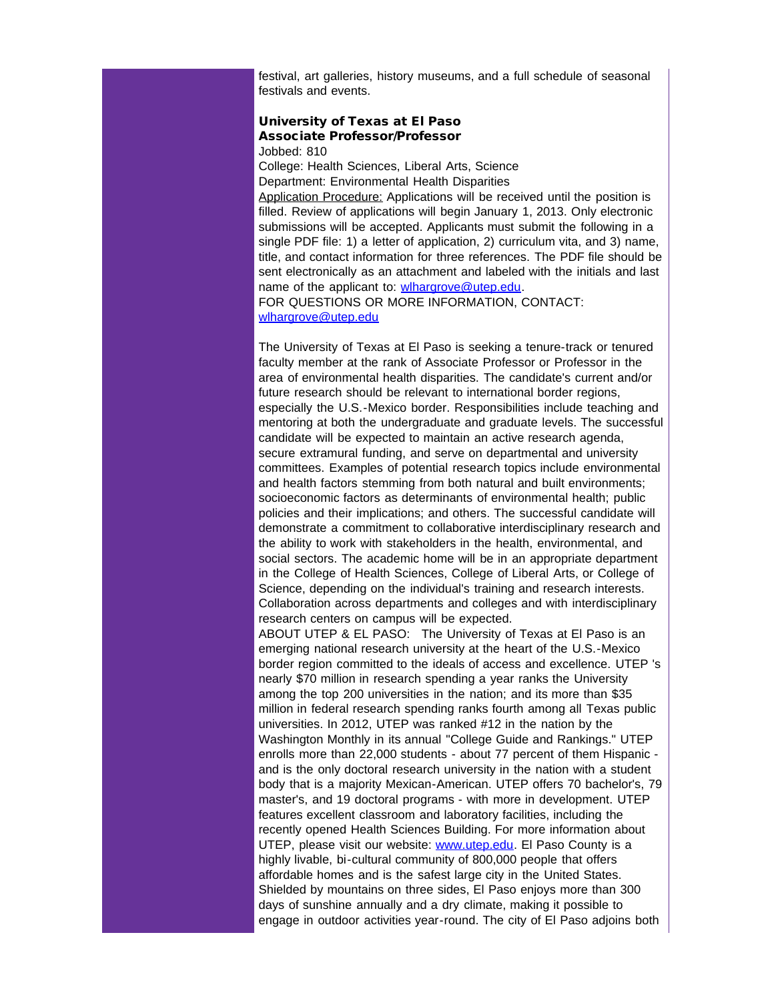festival, art galleries, history museums, and a full schedule of seasonal festivals and events.

## University of Texas at El Paso Associate Professor/Professor

Jobbed: 810

College: Health Sciences, Liberal Arts, Science Department: Environmental Health Disparities

Application Procedure: Applications will be received until the position is filled. Review of applications will begin January 1, 2013. Only electronic submissions will be accepted. Applicants must submit the following in a single PDF file: 1) a letter of application, 2) curriculum vita, and 3) name, title, and contact information for three references. The PDF file should be sent electronically as an attachment and labeled with the initials and last name of the applicant to: [wlhargrove@utep.edu](mailto:wlhargrove@utep.edu). FOR QUESTIONS OR MORE INFORMATION, CONTACT:

[wlhargrove@utep.edu](mailto:wlhargrove@utep.edu)

The University of Texas at El Paso is seeking a tenure-track or tenured faculty member at the rank of Associate Professor or Professor in the area of environmental health disparities. The candidate's current and/or future research should be relevant to international border regions, especially the U.S.-Mexico border. Responsibilities include teaching and mentoring at both the undergraduate and graduate levels. The successful candidate will be expected to maintain an active research agenda, secure extramural funding, and serve on departmental and university committees. Examples of potential research topics include environmental and health factors stemming from both natural and built environments; socioeconomic factors as determinants of environmental health; public policies and their implications; and others. The successful candidate will demonstrate a commitment to collaborative interdisciplinary research and the ability to work with stakeholders in the health, environmental, and social sectors. The academic home will be in an appropriate department in the College of Health Sciences, College of Liberal Arts, or College of Science, depending on the individual's training and research interests. Collaboration across departments and colleges and with interdisciplinary research centers on campus will be expected.

ABOUT UTEP & EL PASO: The University of Texas at El Paso is an emerging national research university at the heart of the U.S.-Mexico border region committed to the ideals of access and excellence. UTEP 's nearly \$70 million in research spending a year ranks the University among the top 200 universities in the nation; and its more than \$35 million in federal research spending ranks fourth among all Texas public universities. In 2012, UTEP was ranked #12 in the nation by the Washington Monthly in its annual "College Guide and Rankings." UTEP enrolls more than 22,000 students - about 77 percent of them Hispanic and is the only doctoral research university in the nation with a student body that is a majority Mexican-American. UTEP offers 70 bachelor's, 79 master's, and 19 doctoral programs - with more in development. UTEP features excellent classroom and laboratory facilities, including the recently opened Health Sciences Building. For more information about UTEP, please visit our website: [www.utep.edu.](http://r20.rs6.net/tn.jsp?e=0014xJLtunQVdjYwBp_-bLQ6ePuB56Ukt3bjjwrXDh0KC1I5fp3YErxozig-t9_TooGR4ySsRlWWXNSpOxKh45B7N1Tj_eA4A6vamHntYVz_To=) El Paso County is a highly livable, bi-cultural community of 800,000 people that offers affordable homes and is the safest large city in the United States. Shielded by mountains on three sides, El Paso enjoys more than 300 days of sunshine annually and a dry climate, making it possible to engage in outdoor activities year-round. The city of El Paso adjoins both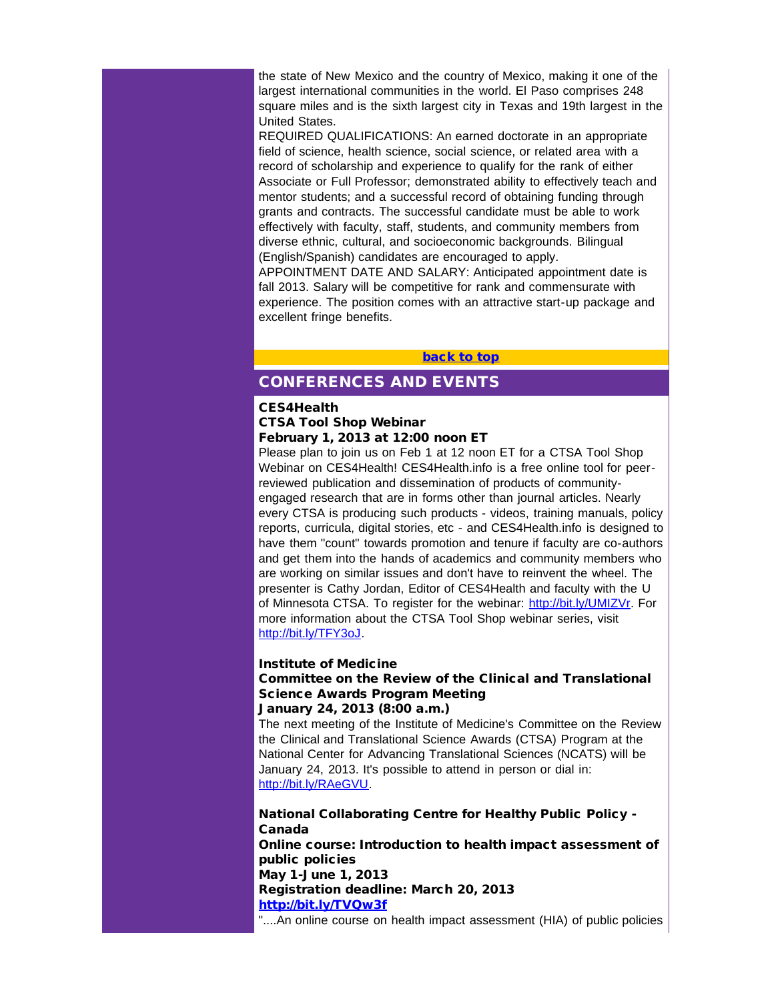the state of New Mexico and the country of Mexico, making it one of the largest international communities in the world. El Paso comprises 248 square miles and is the sixth largest city in Texas and 19th largest in the United States.

<span id="page-16-0"></span>REQUIRED QUALIFICATIONS: An earned doctorate in an appropriate field of science, health science, social science, or related area with a record of scholarship and experience to qualify for the rank of either Associate or Full Professor; demonstrated ability to effectively teach and mentor students; and a successful record of obtaining funding through grants and contracts. The successful candidate must be able to work effectively with faculty, staff, students, and community members from diverse ethnic, cultural, and socioeconomic backgrounds. Bilingual (English/Spanish) candidates are encouraged to apply.

APPOINTMENT DATE AND SALARY: Anticipated appointment date is fall 2013. Salary will be competitive for rank and commensurate with experience. The position comes with an attractive start-up package and excellent fringe benefits.

## **[back to top](#page-0-2)**

## CONFERENCES AND EVENTS

#### CES4Health

#### CTSA Tool Shop Webinar February 1, 2013 at 12:00 noon ET

Please plan to join us on Feb 1 at 12 noon ET for a CTSA Tool Shop Webinar on CES4Health! CES4Health.info is a free online tool for peerreviewed publication and dissemination of products of communityengaged research that are in forms other than journal articles. Nearly every CTSA is producing such products - videos, training manuals, policy reports, curricula, digital stories, etc - and CES4Health.info is designed to have them "count" towards promotion and tenure if faculty are co-authors and get them into the hands of academics and community members who are working on similar issues and don't have to reinvent the wheel. The presenter is Cathy Jordan, Editor of CES4Health and faculty with the U of Minnesota CTSA. To register for the webinar: [http://bit.ly/UMIZVr](http://r20.rs6.net/tn.jsp?e=0014xJLtunQVdgMlrjFRT3tbCz_cplleYvaSZbuxdjeoS3AfMUJ8Sw8YiZlBBtLYQjmnvt9ujSb1piExauNhriSUGrhbALEU794G67KRGYYbys=). For more information about the CTSA Tool Shop webinar series, visit [http://bit.ly/TFY3oJ.](http://r20.rs6.net/tn.jsp?e=0014xJLtunQVdjEv67gPnRczeDSTYJWUg5IYO-CMkLIP9LXq2C-VW6U4vk4nIk2GKanaNxF4FUYhXSj2LAnWo8g10SCBdoDhICxccb4TvW05CY=)

#### Institute of Medicine

### Committee on the Review of the Clinical and Translational Science Awards Program Meeting January 24, 2013 (8:00 a.m.)

The next meeting of the Institute of Medicine's Committee on the Review the Clinical and Translational Science Awards (CTSA) Program at the National Center for Advancing Translational Sciences (NCATS) will be January 24, 2013. It's possible to attend in person or dial in: [http://bit.ly/RAeGVU.](http://r20.rs6.net/tn.jsp?e=0014xJLtunQVdhZKGxcuiLox2E2TIDo-Q0dyUWo1wO5oTU-A48Bd3pguUiyeyPCr0jfvK8xGuLiPpv22CSlkQmywNsF0iJVnnRnnhNFQjR-QG8=)

National Collaborating Centre for Healthy Public Policy - Canada Online course: Introduction to health impact assessment of public policies May 1-June 1, 2013 Registration deadline: March 20, 2013 [http://bit.ly/TVQw3f](http://r20.rs6.net/tn.jsp?e=0014xJLtunQVdgR62uthXbx6kJk0Sxy-q9K0zH18dJzQvGiFutXToGzPNgQQPiNU9B8Uzz7uZU5u5lLk2P-UzoOS6OZGAJsc8iyPMqvvBnneiI=)

"....An online course on health impact assessment (HIA) of public policies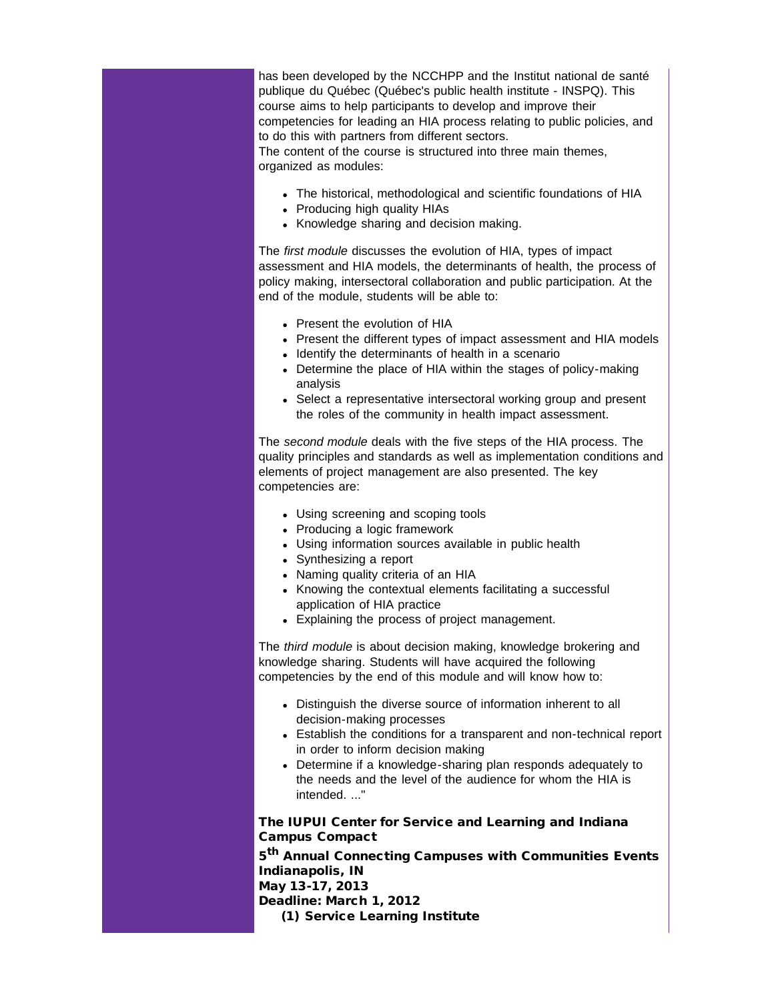has been developed by the NCCHPP and the Institut national de santé publique du Québec (Québec's public health institute - INSPQ). This course aims to help participants to develop and improve their competencies for leading an HIA process relating to public policies, and to do this with partners from different sectors. The content of the course is structured into three main themes,

organized as modules:

- The historical, methodological and scientific foundations of HIA
- Producing high quality HIAs
- Knowledge sharing and decision making.

The *first module* discusses the evolution of HIA, types of impact assessment and HIA models, the determinants of health, the process of policy making, intersectoral collaboration and public participation. At the end of the module, students will be able to:

- Present the evolution of HIA
- Present the different types of impact assessment and HIA models
- Identify the determinants of health in a scenario
- Determine the place of HIA within the stages of policy-making analysis
- Select a representative intersectoral working group and present the roles of the community in health impact assessment.

The *second module* deals with the five steps of the HIA process. The quality principles and standards as well as implementation conditions and elements of project management are also presented. The key competencies are:

- Using screening and scoping tools
- Producing a logic framework
- Using information sources available in public health
- Synthesizing a report
- Naming quality criteria of an HIA
- Knowing the contextual elements facilitating a successful application of HIA practice
- Explaining the process of project management.

The *third module* is about decision making, knowledge brokering and knowledge sharing. Students will have acquired the following competencies by the end of this module and will know how to:

- Distinguish the diverse source of information inherent to all decision-making processes
- Establish the conditions for a transparent and non-technical report in order to inform decision making
- Determine if a knowledge-sharing plan responds adequately to the needs and the level of the audience for whom the HIA is intended. ..."

The IUPUI Center for Service and Learning and Indiana Campus Compact

5<sup>th</sup> Annual Connecting Campuses with Communities Events Indianapolis, IN May 13-17, 2013

Deadline: March 1, 2012

(1) Service Learning Institute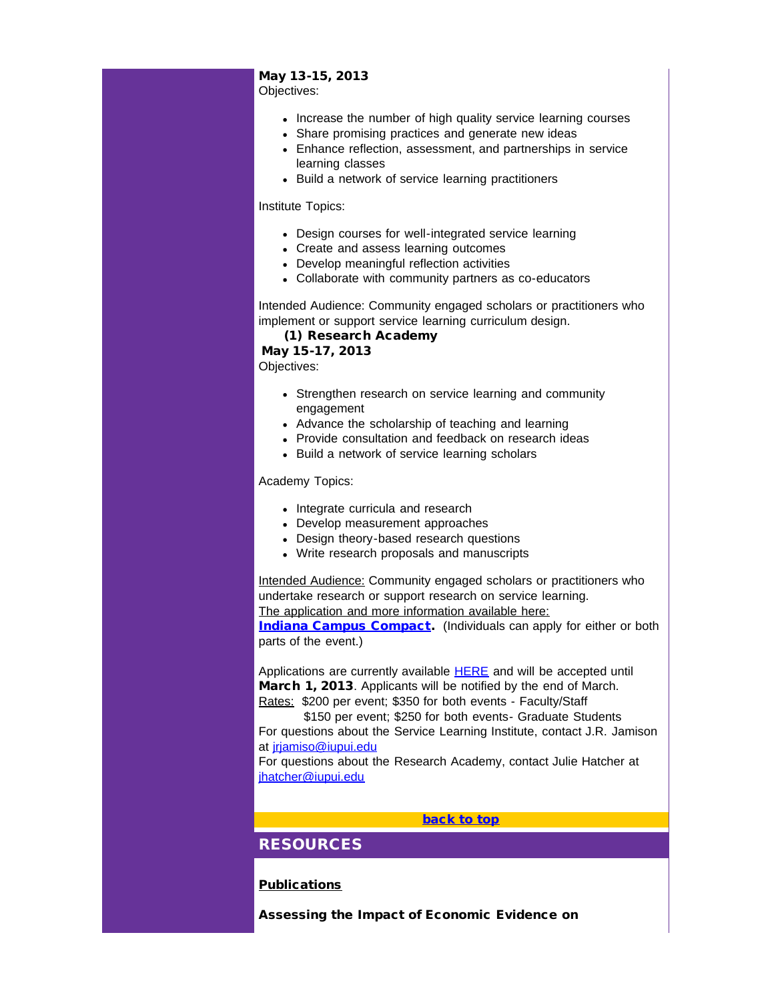## May 13-15, 2013

Objectives:

- Increase the number of high quality service learning courses
- Share promising practices and generate new ideas
- Enhance reflection, assessment, and partnerships in service learning classes
- Build a network of service learning practitioners

#### Institute Topics:

- Design courses for well-integrated service learning
- Create and assess learning outcomes
- Develop meaningful reflection activities
- Collaborate with community partners as co-educators

Intended Audience: Community engaged scholars or practitioners who implement or support service learning curriculum design.

(1) Research Academy

## May 15-17, 2013

Objectives:

- Strengthen research on service learning and community engagement
- Advance the scholarship of teaching and learning
- Provide consultation and feedback on research ideas
- Build a network of service learning scholars

Academy Topics:

- Integrate curricula and research
- Develop measurement approaches
- Design theory-based research questions
- Write research proposals and manuscripts

Intended Audience: Community engaged scholars or practitioners who undertake research or support research on service learning. The application and more information available here:

<span id="page-18-0"></span>**[Indiana Campus Compact](http://r20.rs6.net/tn.jsp?e=0014xJLtunQVdhe1YAVW1a6HqvB1vrK0Xhx322OWTY332VGc6_yvpdSs_ZZN_QMJaeDRKUPg9PlijUby-hHR8k0QZsfO8Rx0flPVSU3ytuiylAuz5ksdfJdL7teNh77GZ97nnhQAEJ9s71wP-qCnvQ-ocPIqZYUtYfp2OMQQRdMTtr3lIMbznE_w6Dv0YyKfJgqJPjBaPiN8s_ZM6usjsdlASkOmOZpbLpWNPyxFMZrAAK17MbDg3O56i5G-Z8qZXMwRhU6jyCX15iRL37hzezpQxyqWNoSfKFnXGRNPQ1t4K5pblo_dRDBqSpmJNrC327LjNAsHXkhodRurSOiyFHB09Fsk48Wpy7FSTxThI4Fz7WaXB2eozyJRAj-O8QuV0KhgJGCa7_bbORQ974pRmvjhw==).** (Individuals can apply for either or both parts of the event.)

Applications are currently available **HERE** and will be accepted until March 1, 2013. Applicants will be notified by the end of March. Rates: \$200 per event; \$350 for both events - Faculty/Staff

\$150 per event; \$250 for both events- Graduate Students For questions about the Service Learning Institute, contact J.R. Jamison at [jrjamiso@iupui.edu](mailto:jrjamiso@iupui.edu)

For questions about the Research Academy, contact Julie Hatcher at [jhatcher@iupui.edu](mailto:jhatcher@iupui.edu)

[back to top](#page-0-2)

## RESOURCES

### **Publications**

Assessing the Impact of Economic Evidence on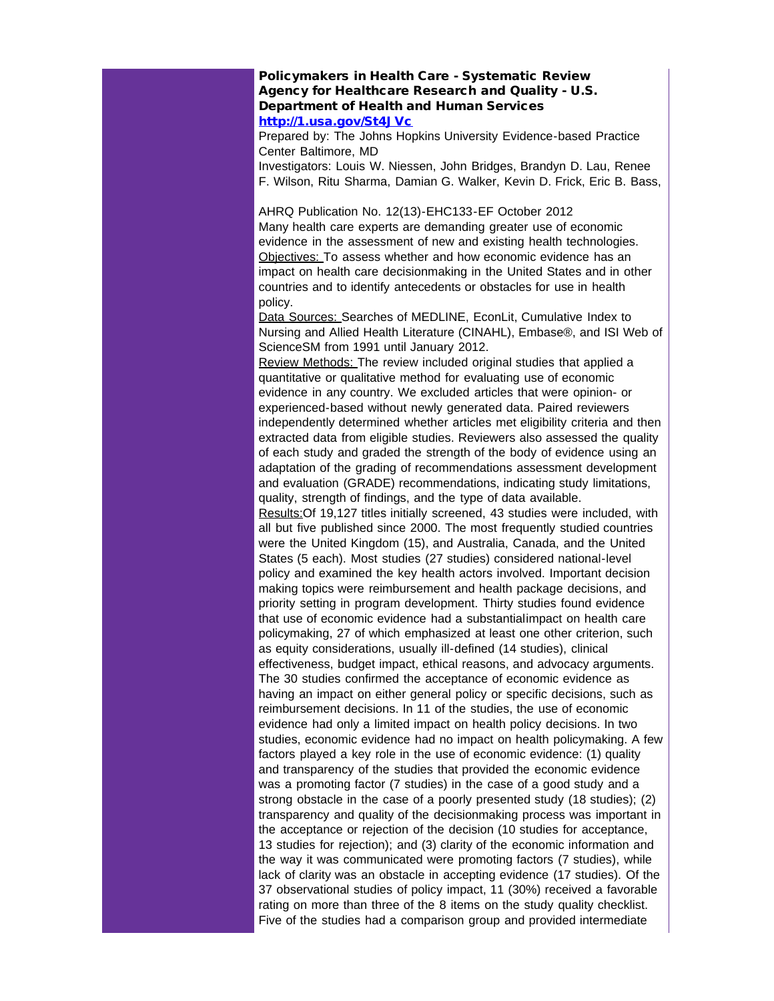### Policymakers in Health Care - Systematic Review Agency for Healthcare Research and Quality - U.S. Department of Health and Human Services [http://1.usa.gov/St4JVc](http://r20.rs6.net/tn.jsp?e=0014xJLtunQVdg9u0x2N75UOepNUL9l35J3shP5ZLt3YPlrjpnJQ0EUY0tFrOiQX9gL1qifmfzlNaB1nd2GsmsswVtMZX34NhNa8QmGEZ7gAMw=)

Prepared by: The Johns Hopkins University Evidence-based Practice Center Baltimore, MD

Investigators: Louis W. Niessen, John Bridges, Brandyn D. Lau, Renee F. Wilson, Ritu Sharma, Damian G. Walker, Kevin D. Frick, Eric B. Bass,

AHRQ Publication No. 12(13)-EHC133-EF October 2012 Many health care experts are demanding greater use of economic evidence in the assessment of new and existing health technologies. Objectives: To assess whether and how economic evidence has an impact on health care decisionmaking in the United States and in other countries and to identify antecedents or obstacles for use in health policy.

Data Sources: Searches of MEDLINE, EconLit, Cumulative Index to Nursing and Allied Health Literature (CINAHL), Embase®, and ISI Web of ScienceSM from 1991 until January 2012.

Review Methods: The review included original studies that applied a quantitative or qualitative method for evaluating use of economic evidence in any country. We excluded articles that were opinion- or experienced-based without newly generated data. Paired reviewers independently determined whether articles met eligibility criteria and then extracted data from eligible studies. Reviewers also assessed the quality of each study and graded the strength of the body of evidence using an adaptation of the grading of recommendations assessment development and evaluation (GRADE) recommendations, indicating study limitations, quality, strength of findings, and the type of data available.

Results:Of 19,127 titles initially screened, 43 studies were included, with all but five published since 2000. The most frequently studied countries were the United Kingdom (15), and Australia, Canada, and the United States (5 each). Most studies (27 studies) considered national-level policy and examined the key health actors involved. Important decision making topics were reimbursement and health package decisions, and priority setting in program development. Thirty studies found evidence that use of economic evidence had a substantialimpact on health care policymaking, 27 of which emphasized at least one other criterion, such as equity considerations, usually ill-defined (14 studies), clinical effectiveness, budget impact, ethical reasons, and advocacy arguments. The 30 studies confirmed the acceptance of economic evidence as having an impact on either general policy or specific decisions, such as reimbursement decisions. In 11 of the studies, the use of economic evidence had only a limited impact on health policy decisions. In two studies, economic evidence had no impact on health policymaking. A few factors played a key role in the use of economic evidence: (1) quality and transparency of the studies that provided the economic evidence was a promoting factor (7 studies) in the case of a good study and a strong obstacle in the case of a poorly presented study (18 studies); (2) transparency and quality of the decisionmaking process was important in the acceptance or rejection of the decision (10 studies for acceptance, 13 studies for rejection); and (3) clarity of the economic information and the way it was communicated were promoting factors (7 studies), while lack of clarity was an obstacle in accepting evidence (17 studies). Of the 37 observational studies of policy impact, 11 (30%) received a favorable rating on more than three of the 8 items on the study quality checklist. Five of the studies had a comparison group and provided intermediate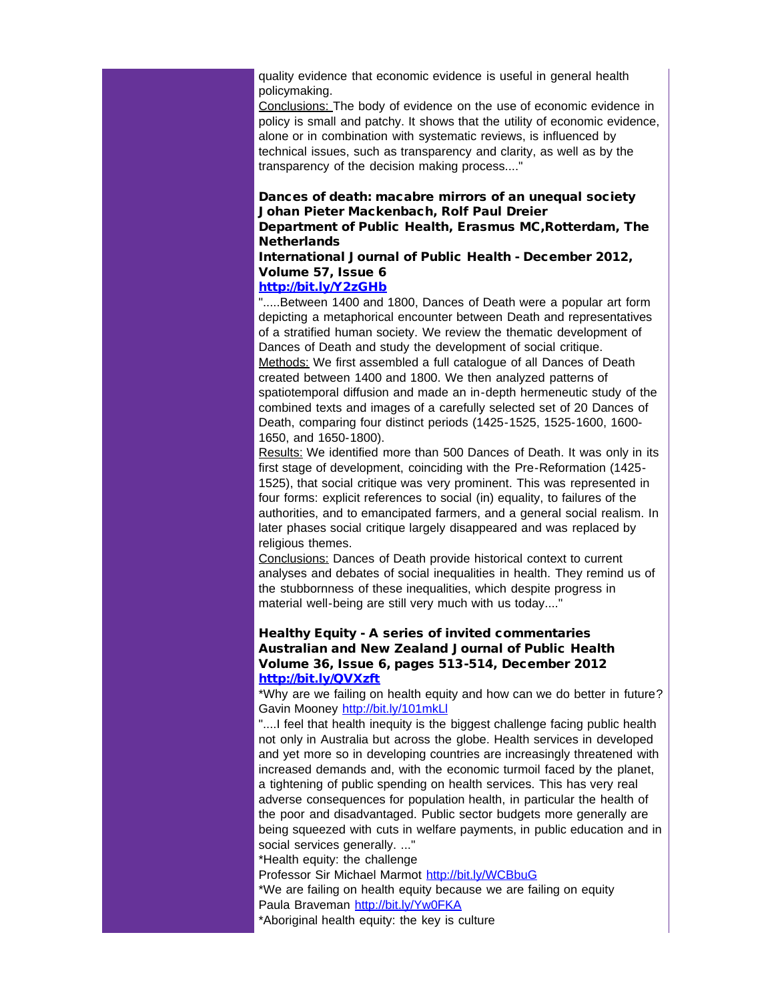quality evidence that economic evidence is useful in general health policymaking.

Conclusions: The body of evidence on the use of economic evidence in policy is small and patchy. It shows that the utility of economic evidence, alone or in combination with systematic reviews, is influenced by technical issues, such as transparency and clarity, as well as by the transparency of the decision making process...."

## Dances of death: macabre mirrors of an unequal society Johan Pieter Mackenbach, Rolf Paul Dreier

## Department of Public Health, Erasmus MC,Rotterdam, The **Netherlands**

## International Journal of Public Health - December 2012, Volume 57, Issue 6

## [http://bit.ly/Y2zGHb](http://r20.rs6.net/tn.jsp?e=0014xJLtunQVdh6Vxi5Rd2ywZgZZSWUWkHh3rRvFNuypkdtDdIWqg7LcWlODa-icHIVOz5u9UALgbKRMC9Ddvej9ncJ957bkgBfKGw_dBVq73U=)

".....Between 1400 and 1800, Dances of Death were a popular art form depicting a metaphorical encounter between Death and representatives of a stratified human society. We review the thematic development of Dances of Death and study the development of social critique. Methods: We first assembled a full catalogue of all Dances of Death created between 1400 and 1800. We then analyzed patterns of spatiotemporal diffusion and made an in-depth hermeneutic study of the combined texts and images of a carefully selected set of 20 Dances of Death, comparing four distinct periods (1425-1525, 1525-1600, 1600- 1650, and 1650-1800).

Results: We identified more than 500 Dances of Death. It was only in its first stage of development, coinciding with the Pre-Reformation (1425- 1525), that social critique was very prominent. This was represented in four forms: explicit references to social (in) equality, to failures of the authorities, and to emancipated farmers, and a general social realism. In later phases social critique largely disappeared and was replaced by religious themes.

Conclusions: Dances of Death provide historical context to current analyses and debates of social inequalities in health. They remind us of the stubbornness of these inequalities, which despite progress in material well-being are still very much with us today...."

## Healthy Equity - A series of invited commentaries Australian and New Zealand Journal of Public Health Volume 36, Issue 6, pages 513-514, December 2012 [http://bit.ly/QVXzft](http://r20.rs6.net/tn.jsp?e=0014xJLtunQVdgpf5DImhieJZAxh0Pah1h7JgOX4hh0BaI4wV5CjhJN8f6e4UiF267VFkSFKK86jviyGEddCZ6ukocohYdTLbMxlpe-eBzP_yI=)

\*Why are we failing on health equity and how can we do better in future? Gavin Mooney [http://bit.ly/101mkLl](http://r20.rs6.net/tn.jsp?e=0014xJLtunQVdhCvBTWOZ869wHH3RImRuxc4Eolui5EzIZfB0uTWc2PkF7Tg6O4DxVTfyoQ_m7YH9YZgPMNLlZSrjE3BK19WBvMjv3UYYzINtU=)

"....I feel that health inequity is the biggest challenge facing public health not only in Australia but across the globe. Health services in developed and yet more so in developing countries are increasingly threatened with increased demands and, with the economic turmoil faced by the planet, a tightening of public spending on health services. This has very real adverse consequences for population health, in particular the health of the poor and disadvantaged. Public sector budgets more generally are being squeezed with cuts in welfare payments, in public education and in social services generally. ..."

\*Health equity: the challenge

Professor Sir Michael Marmot [http://bit.ly/WCBbuG](http://r20.rs6.net/tn.jsp?e=0014xJLtunQVdiyQBKCg6q7-JH3sGbMszw6KG7Q4CRK_JlAdG37F0HoR7hrWKgeQSrrjF4FkTSl6A_wRbbyVSiyQ1qcoc164Ul66kxZSgIgEJI=)

\*We are failing on health equity because we are failing on equity Paula Braveman [http://bit.ly/Yw0FKA](http://r20.rs6.net/tn.jsp?e=0014xJLtunQVdjL3wFUTHhRMGByjPGjL-fXHAuO-HGs4ISUycBYNY7icVQeBg1q7FXbzWZISlxgXgZ0Tf6wXTIL4ZD5YcwOjwTq04RJ7cHu888=)

\*Aboriginal health equity: the key is culture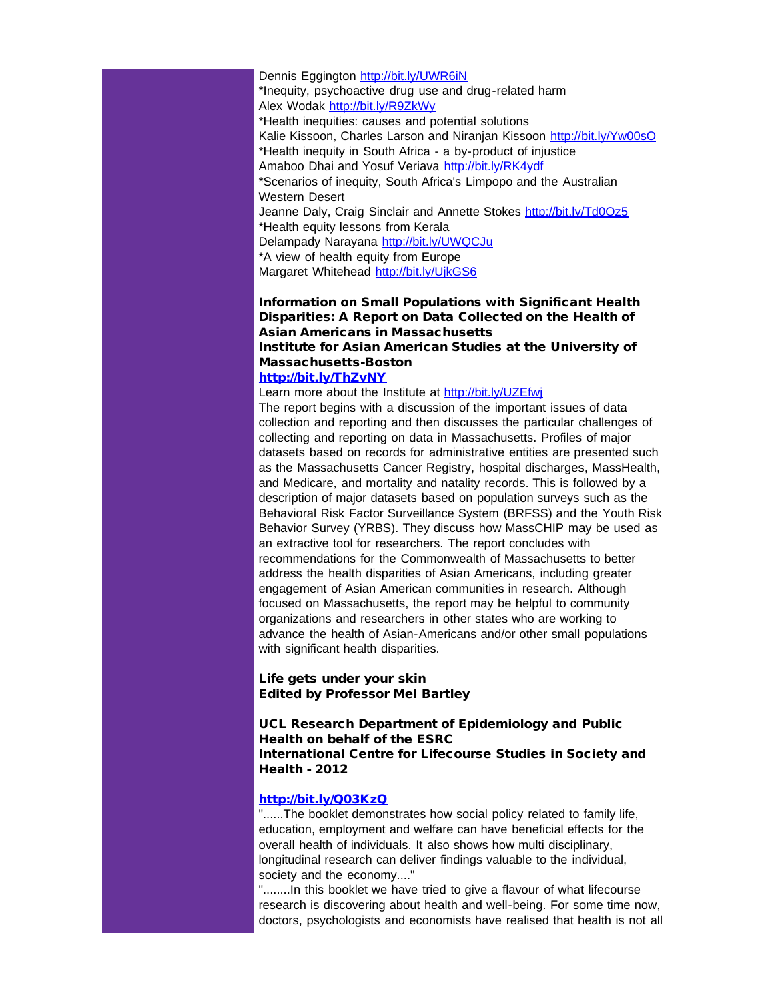Dennis Eggington [http://bit.ly/UWR6iN](http://r20.rs6.net/tn.jsp?e=0014xJLtunQVdjtovqVBdDpK2Rtkg1iB-3_5P4uSsQK1C9lmzIdZAGZ0K-FvrIuYhM4VtN34HVOp3hSU7UZvxgM3PT2fWI9sPL4qYNGIM9T33Q=) \*Inequity, psychoactive drug use and drug-related harm Alex Wodak [http://bit.ly/R9ZkWy](http://r20.rs6.net/tn.jsp?e=0014xJLtunQVdhIP2oHrt3tDu-5YZxfRSf0s6PK-HhT3k4c8uTVN1iicLiwWgU-7n9yYtbsfESmyFAUJbkUZpPxi1F7y3XhMG3tDsA34X0g3CY=) \*Health inequities: causes and potential solutions Kalie Kissoon, Charles Larson and Niranjan Kissoon [http://bit.ly/Yw00sO](http://r20.rs6.net/tn.jsp?e=0014xJLtunQVdgeZqzrLv7Ki6zYHpQaSD98IYQKrpGwc7XRfihbjhQkp51D554Y7letIqOIH3P8W7oj404WwjOTk7rp8XqIbF9TkMhN_rKUcNY=) \*Health inequity in South Africa - a by-product of injustice Amaboo Dhai and Yosuf Veriava [http://bit.ly/RK4ydf](http://r20.rs6.net/tn.jsp?e=0014xJLtunQVdjuMJ69zux3ClVTZ7N58JWXwXE8-ZoNcpIcgjSFV31mUjv6yUtyeA7_rgoQa-gaODpGwcOJo2jLbRO-JejGM-f-lQTXtnTSumQ=) \*Scenarios of inequity, South Africa's Limpopo and the Australian Western Desert Jeanne Daly, Craig Sinclair and Annette Stokes [http://bit.ly/Td0Oz5](http://r20.rs6.net/tn.jsp?e=0014xJLtunQVdhtkE4xZMRMDsIdyN3KJvzLHtIfK8MrLiOxifQc_qMYB-aSIdIjA-Un_f0g73XPmVVcTP-XfLweZiCN59kIKd0n7yA0qSr9jmY=) \*Health equity lessons from Kerala Delampady Narayana [http://bit.ly/UWQCJu](http://r20.rs6.net/tn.jsp?e=0014xJLtunQVdiuvPN8GxXY8AJcnWOzd5Qor3a2fCYsp89oukurXjhQfSxyZy9n9FfEugADHn02eJIT7oTHmeDwjooWvMxeBn1bWrNA4vuXKvI=) \*A view of health equity from Europe Margaret Whitehead [http://bit.ly/UjkGS6](http://r20.rs6.net/tn.jsp?e=0014xJLtunQVdgtHg4l7BwfX6NcMqW2r6d59zAp97jr3x7kE-J5vowOWS3_ZNZ0NCfX3gYmEvqOZ49gYkZdO9SpEn3s3BIpHuYPLMFn3dVO3yk=)

## Information on Small Populations with Significant Health Disparities: A Report on Data Collected on the Health of Asian Americans in Massachusetts Institute for Asian American Studies at the University of

#### Massachusetts-Boston [http://bit.ly/ThZvNY](http://r20.rs6.net/tn.jsp?e=0014xJLtunQVdg1M2eF0yoMaI4_3l9eB8X_XC540TUgybl96QMqfY_ZmCIYnicQfwDTWSt8rNOCVO7VbfKlTqqRxAokIscX2o61AoV78P_YpZs=)

### Learn more about the Institute at http://bit.ly/UZEfwi

The report begins with a discussion of the important issues of data collection and reporting and then discusses the particular challenges of collecting and reporting on data in Massachusetts. Profiles of major datasets based on records for administrative entities are presented such as the Massachusetts Cancer Registry, hospital discharges, MassHealth, and Medicare, and mortality and natality records. This is followed by a description of major datasets based on population surveys such as the Behavioral Risk Factor Surveillance System (BRFSS) and the Youth Risk Behavior Survey (YRBS). They discuss how MassCHIP may be used as an extractive tool for researchers. The report concludes with recommendations for the Commonwealth of Massachusetts to better address the health disparities of Asian Americans, including greater engagement of Asian American communities in research. Although focused on Massachusetts, the report may be helpful to community organizations and researchers in other states who are working to advance the health of Asian-Americans and/or other small populations with significant health disparities.

## Life gets under your skin Edited by Professor Mel Bartley

UCL Research Department of Epidemiology and Public Health on behalf of the ESRC International Centre for Lifecourse Studies in Society and Health - 2012

### [http://bit.ly/Q03KzQ](http://r20.rs6.net/tn.jsp?e=0014xJLtunQVdjdK6DxH4Yr5FwpbGC-s8DUiumWfFcZ5cpnDymR0srcFJuN_yfYyk5B7aEj9euvoBT53JkzN-KxTnBuebfEjDXRrNWP7kXpFCg=)

"......The booklet demonstrates how social policy related to family life, education, employment and welfare can have beneficial effects for the overall health of individuals. It also shows how multi disciplinary, longitudinal research can deliver findings valuable to the individual, society and the economy...."

"........In this booklet we have tried to give a flavour of what lifecourse research is discovering about health and well-being. For some time now, doctors, psychologists and economists have realised that health is not all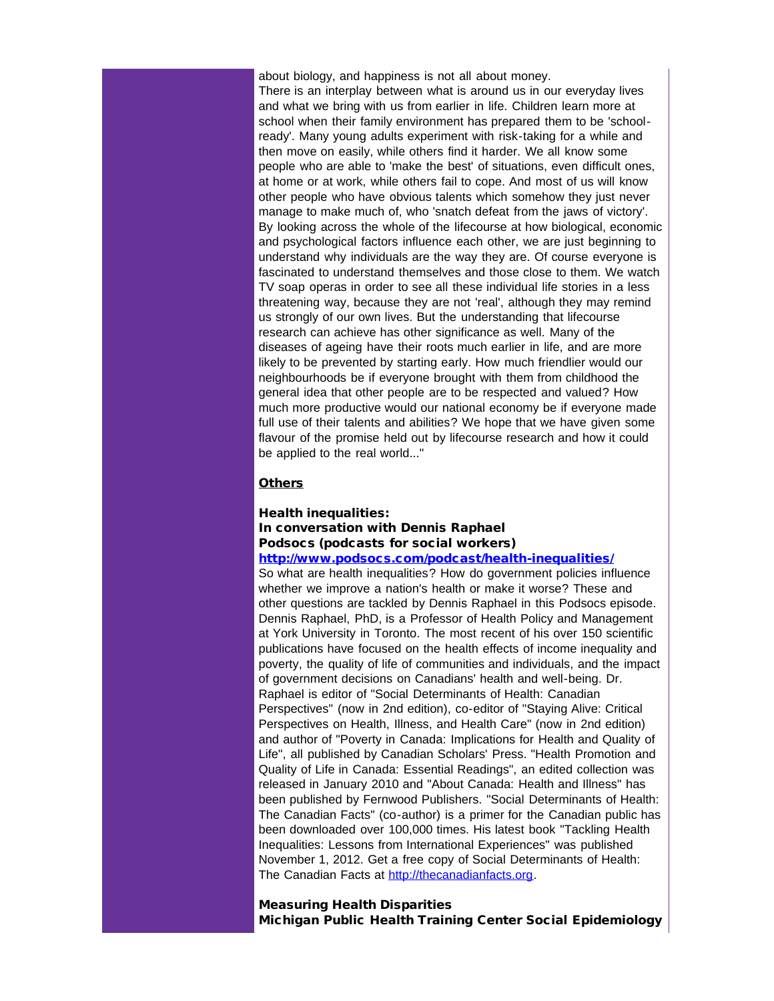about biology, and happiness is not all about money.

There is an interplay between what is around us in our everyday lives and what we bring with us from earlier in life. Children learn more at school when their family environment has prepared them to be 'schoolready'. Many young adults experiment with risk-taking for a while and then move on easily, while others find it harder. We all know some people who are able to 'make the best' of situations, even difficult ones, at home or at work, while others fail to cope. And most of us will know other people who have obvious talents which somehow they just never manage to make much of, who 'snatch defeat from the jaws of victory'. By looking across the whole of the lifecourse at how biological, economic and psychological factors influence each other, we are just beginning to understand why individuals are the way they are. Of course everyone is fascinated to understand themselves and those close to them. We watch TV soap operas in order to see all these individual life stories in a less threatening way, because they are not 'real', although they may remind us strongly of our own lives. But the understanding that lifecourse research can achieve has other significance as well. Many of the diseases of ageing have their roots much earlier in life, and are more likely to be prevented by starting early. How much friendlier would our neighbourhoods be if everyone brought with them from childhood the general idea that other people are to be respected and valued? How much more productive would our national economy be if everyone made full use of their talents and abilities? We hope that we have given some flavour of the promise held out by lifecourse research and how it could be applied to the real world..."

### **Others**

#### Health inequalities:

## In conversation with Dennis Raphael Podsocs (podcasts for social workers)

### [http://www.podsocs.com/podcast/health-inequalities/](http://r20.rs6.net/tn.jsp?e=0014xJLtunQVdh1r75SkXXz-96ZMQj6wLt1zhoX_nIjjcLf4e2-Q9d4CZ7bHbRSQLlvog4Mv42P3yERHnqKL8ECB-jjGHhmXT3T-CSdEPh5XW7FeNrjQoB0JfKD3oQGwHd0YjMDvk-MMW7HCRLmtkNfpw==)

So what are health inequalities? How do government policies influence whether we improve a nation's health or make it worse? These and other questions are tackled by Dennis Raphael in this Podsocs episode. Dennis Raphael, PhD, is a Professor of Health Policy and Management at York University in Toronto. The most recent of his over 150 scientific publications have focused on the health effects of income inequality and poverty, the quality of life of communities and individuals, and the impact of government decisions on Canadians' health and well-being. Dr. Raphael is editor of "Social Determinants of Health: Canadian Perspectives" (now in 2nd edition), co-editor of "Staying Alive: Critical Perspectives on Health, Illness, and Health Care" (now in 2nd edition) and author of "Poverty in Canada: Implications for Health and Quality of Life", all published by Canadian Scholars' Press. "Health Promotion and Quality of Life in Canada: Essential Readings", an edited collection was released in January 2010 and "About Canada: Health and Illness" has been published by Fernwood Publishers. "Social Determinants of Health: The Canadian Facts" (co-author) is a primer for the Canadian public has been downloaded over 100,000 times. His latest book "Tackling Health Inequalities: Lessons from International Experiences" was published November 1, 2012. Get a free copy of Social Determinants of Health: The Canadian Facts at [http://thecanadianfacts.org](http://r20.rs6.net/tn.jsp?e=0014xJLtunQVdjeKFbUcMWha5lwdieiLNQz9l_ad_2OsJYLYXevgES6p4E_RaQ3cACXkvP8HXJemept8ZrZhwkxhotvSTkM96qOrYnZJ2Oa6bqYneYlMtfPvg==).

Measuring Health Disparities Michigan Public Health Training Center Social Epidemiology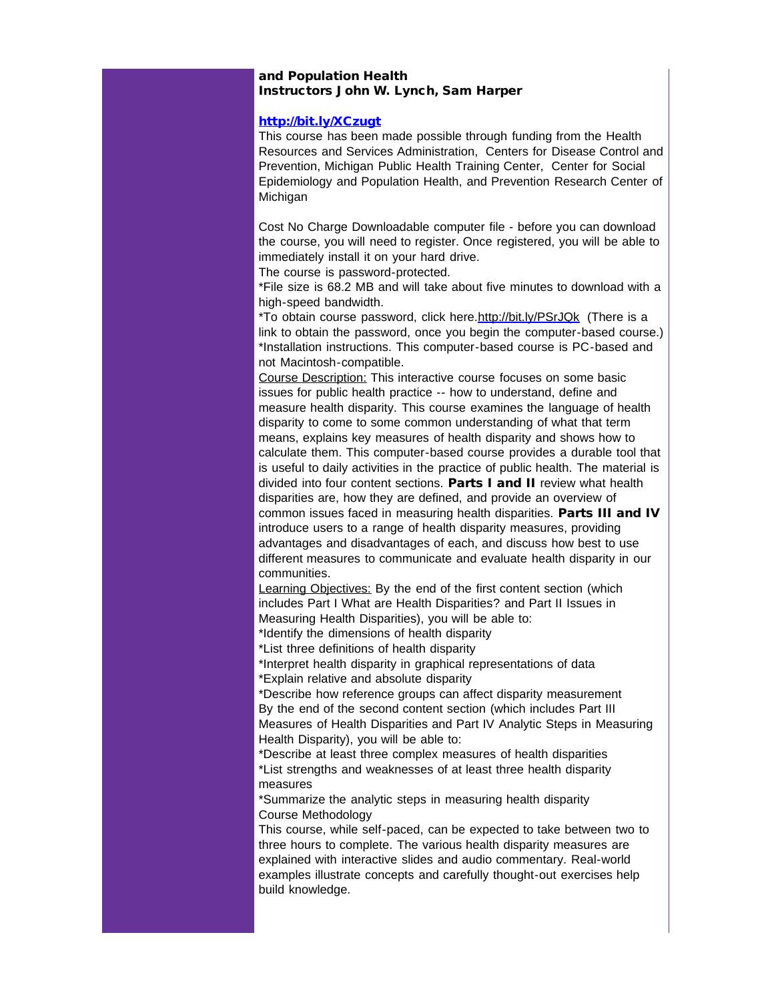## and Population Health Instructors John W. Lynch, Sam Harper

## [http://bit.ly/XCzugt](http://r20.rs6.net/tn.jsp?e=0014xJLtunQVdh6XCOsNVhp4TQvQ1ZVwc9WbwsEPvh7UuanohYUua3J4sc5l_KTOaNfXDD0xb5xltc9H_kMtgKGC7hEPsTPa3ZAUfXkujaDkGM=)

This course has been made possible through funding from the Health Resources and Services Administration, Centers for Disease Control and Prevention, Michigan Public Health Training Center, Center for Social Epidemiology and Population Health, and Prevention Research Center of Michigan

Cost No Charge Downloadable computer file - before you can download the course, you will need to register. Once registered, you will be able to immediately install it on your hard drive.

The course is password-protected.

\*File size is 68.2 MB and will take about five minutes to download with a high-speed bandwidth.

\*To obtain course password, click here[.http://bit.ly/PSrJQk](http://r20.rs6.net/tn.jsp?e=0014xJLtunQVdjT7yzmc9veec84cRo56UQ7QQdSsDyp9743_RAvOXQy7hEcPgJYgHkst5cLeXg-bBHbhPZ9bja5lQZTyF2qMEZyEvbxPE4ddxw=) (There is a link to obtain the password, once you begin the computer-based course.) \*Installation instructions. This computer-based course is PC-based and not Macintosh-compatible.

Course Description: This interactive course focuses on some basic issues for public health practice -- how to understand, define and measure health disparity. This course examines the language of health disparity to come to some common understanding of what that term means, explains key measures of health disparity and shows how to calculate them. This computer-based course provides a durable tool that is useful to daily activities in the practice of public health. The material is divided into four content sections. Parts I and II review what health disparities are, how they are defined, and provide an overview of common issues faced in measuring health disparities. Parts III and IV introduce users to a range of health disparity measures, providing advantages and disadvantages of each, and discuss how best to use different measures to communicate and evaluate health disparity in our communities.

Learning Objectives: By the end of the first content section (which includes Part I What are Health Disparities? and Part II Issues in Measuring Health Disparities), you will be able to:

\*Identify the dimensions of health disparity

\*List three definitions of health disparity

\*Interpret health disparity in graphical representations of data \*Explain relative and absolute disparity

\*Describe how reference groups can affect disparity measurement By the end of the second content section (which includes Part III Measures of Health Disparities and Part IV Analytic Steps in Measuring Health Disparity), you will be able to:

\*Describe at least three complex measures of health disparities \*List strengths and weaknesses of at least three health disparity measures

\*Summarize the analytic steps in measuring health disparity Course Methodology

This course, while self-paced, can be expected to take between two to three hours to complete. The various health disparity measures are explained with interactive slides and audio commentary. Real-world examples illustrate concepts and carefully thought-out exercises help build knowledge.